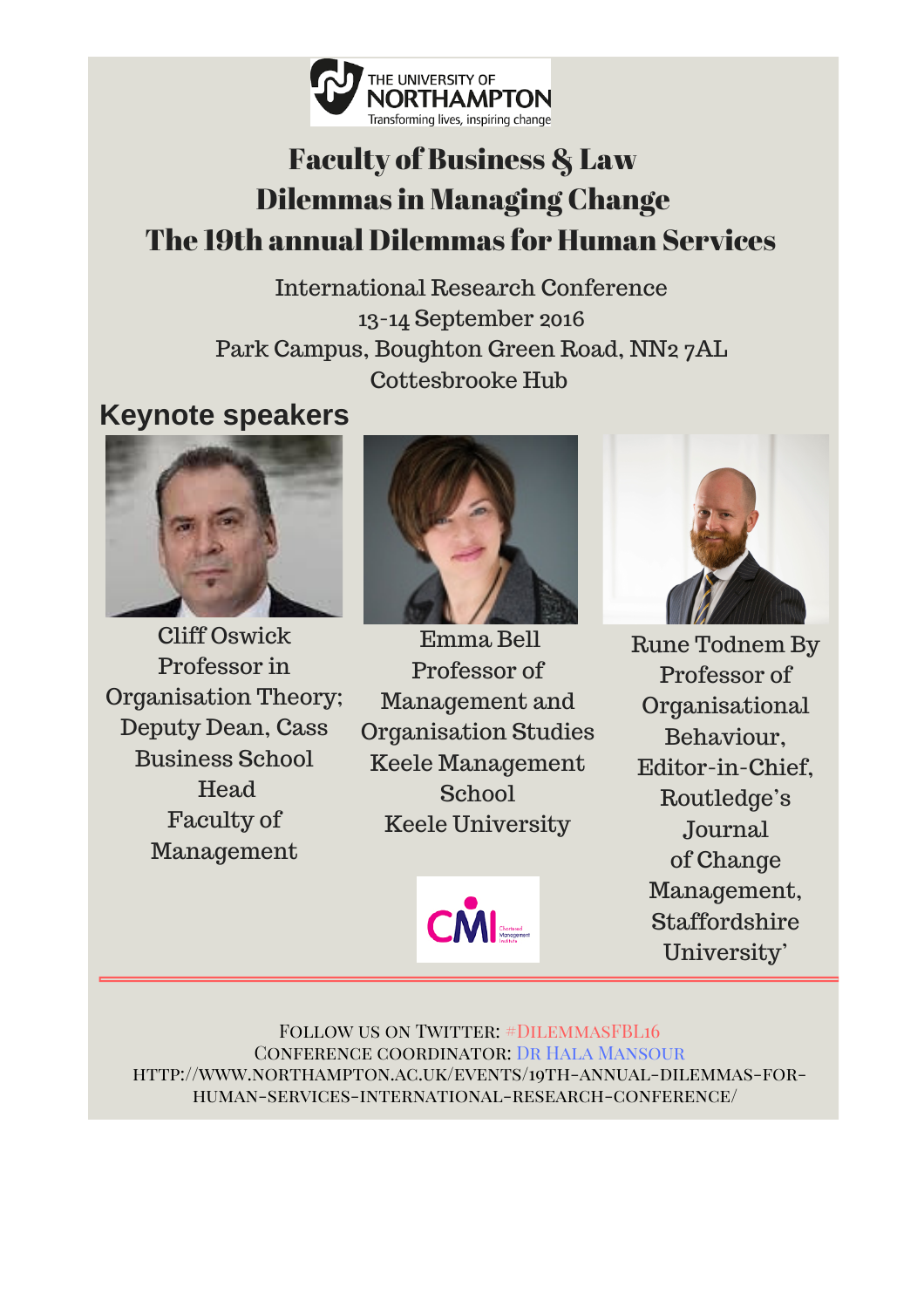

# Faculty of Business & Law Dilemmas in Managing Change The 19th annual Dilemmas for Human Services

International Research Conference 13-14 September 2016 Park Campus, Boughton Green Road, NN2 7AL Cottesbrooke Hub

## **Keynote speakers**



Cliff Oswick Professor in Organisation Theory; Deputy Dean, Cass Business School Head Faculty of Management



Emma Bell Professor of Management and Organisation Studies Keele Management **School** Keele University





Rune Todnem By Professor of Organisational Behaviour, Editor-in-Chief, Routledge's Journal of Change Management, Staffordshire University'

FOLLOW US ON TWITTER: #DILEMMASFBL16 Conference coordinator: Dr Hala Mansour http://www.northampton.ac.uk/events/19th-annual-dilemmas-forhuman-services-international-research-conference/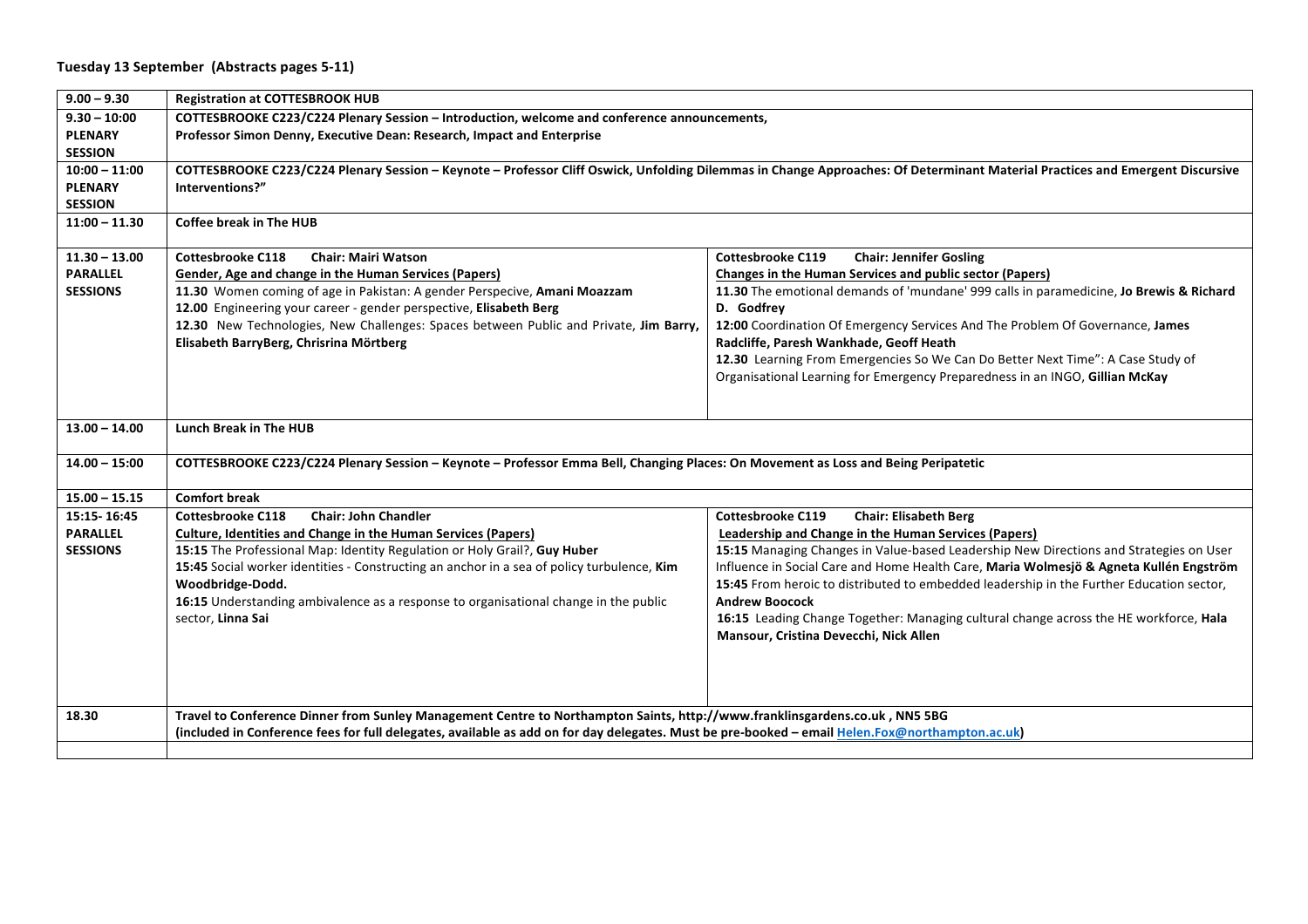| $9.00 - 9.30$   | <b>Registration at COTTESBROOK HUB</b>                                                                                                                                        |                                                                                          |  |
|-----------------|-------------------------------------------------------------------------------------------------------------------------------------------------------------------------------|------------------------------------------------------------------------------------------|--|
| $9.30 - 10:00$  | COTTESBROOKE C223/C224 Plenary Session - Introduction, welcome and conference announcements,                                                                                  |                                                                                          |  |
| <b>PLENARY</b>  | Professor Simon Denny, Executive Dean: Research, Impact and Enterprise                                                                                                        |                                                                                          |  |
| <b>SESSION</b>  |                                                                                                                                                                               |                                                                                          |  |
| $10:00 - 11:00$ | COTTESBROOKE C223/C224 Plenary Session - Keynote - Professor Cliff Oswick, Unfolding Dilemmas in Change Approaches: Of Determinant Material Practices and Emergent Discursive |                                                                                          |  |
| <b>PLENARY</b>  | Interventions?"                                                                                                                                                               |                                                                                          |  |
| <b>SESSION</b>  |                                                                                                                                                                               |                                                                                          |  |
| $11:00 - 11.30$ | <b>Coffee break in The HUB</b>                                                                                                                                                |                                                                                          |  |
|                 |                                                                                                                                                                               |                                                                                          |  |
| $11.30 - 13.00$ | <b>Chair: Mairi Watson</b><br><b>Cottesbrooke C118</b>                                                                                                                        | <b>Chair: Jennifer Gosling</b><br><b>Cottesbrooke C119</b>                               |  |
| <b>PARALLEL</b> | Gender, Age and change in the Human Services (Papers)                                                                                                                         | Changes in the Human Services and public sector (Papers)                                 |  |
| <b>SESSIONS</b> | 11.30 Women coming of age in Pakistan: A gender Perspecive, Amani Moazzam                                                                                                     | 11.30 The emotional demands of 'mundane' 999 calls in paramedicine, Jo Brewis & Richard  |  |
|                 | 12.00 Engineering your career - gender perspective, Elisabeth Berg                                                                                                            | D. Godfrey                                                                               |  |
|                 | 12.30 New Technologies, New Challenges: Spaces between Public and Private, Jim Barry,                                                                                         | 12:00 Coordination Of Emergency Services And The Problem Of Governance, James            |  |
|                 | Elisabeth BarryBerg, Chrisrina Mörtberg                                                                                                                                       | Radcliffe, Paresh Wankhade, Geoff Heath                                                  |  |
|                 |                                                                                                                                                                               | 12.30 Learning From Emergencies So We Can Do Better Next Time": A Case Study of          |  |
|                 |                                                                                                                                                                               | Organisational Learning for Emergency Preparedness in an INGO, Gillian McKay             |  |
|                 |                                                                                                                                                                               |                                                                                          |  |
|                 |                                                                                                                                                                               |                                                                                          |  |
| $13.00 - 14.00$ | <b>Lunch Break in The HUB</b>                                                                                                                                                 |                                                                                          |  |
| $14.00 - 15:00$ | COTTESBROOKE C223/C224 Plenary Session - Keynote - Professor Emma Bell, Changing Places: On Movement as Loss and Being Peripatetic                                            |                                                                                          |  |
| $15.00 - 15.15$ | <b>Comfort break</b>                                                                                                                                                          |                                                                                          |  |
| 15:15-16:45     | <b>Chair: John Chandler</b><br><b>Cottesbrooke C118</b>                                                                                                                       | <b>Cottesbrooke C119</b><br><b>Chair: Elisabeth Berg</b>                                 |  |
| <b>PARALLEL</b> | <b>Culture, Identities and Change in the Human Services (Papers)</b>                                                                                                          | Leadership and Change in the Human Services (Papers)                                     |  |
| <b>SESSIONS</b> | 15:15 The Professional Map: Identity Regulation or Holy Grail?, Guy Huber                                                                                                     | 15:15 Managing Changes in Value-based Leadership New Directions and Strategies on User   |  |
|                 | 15:45 Social worker identities - Constructing an anchor in a sea of policy turbulence, Kim                                                                                    | Influence in Social Care and Home Health Care, Maria Wolmesjö & Agneta Kullén Engström   |  |
|                 | Woodbridge-Dodd.                                                                                                                                                              | 15:45 From heroic to distributed to embedded leadership in the Further Education sector, |  |
|                 | 16:15 Understanding ambivalence as a response to organisational change in the public                                                                                          | <b>Andrew Boocock</b>                                                                    |  |
|                 | sector, Linna Sai                                                                                                                                                             | 16:15 Leading Change Together: Managing cultural change across the HE workforce, Hala    |  |
|                 |                                                                                                                                                                               | Mansour, Cristina Devecchi, Nick Allen                                                   |  |
|                 |                                                                                                                                                                               |                                                                                          |  |
|                 |                                                                                                                                                                               |                                                                                          |  |
|                 |                                                                                                                                                                               |                                                                                          |  |
| 18.30           | Travel to Conference Dinner from Sunley Management Centre to Northampton Saints, http://www.franklinsgardens.co.uk, NN5 5BG                                                   |                                                                                          |  |
|                 | (included in Conference fees for full delegates, available as add on for day delegates. Must be pre-booked - email Helen.Fox@northampton.ac.uk)                               |                                                                                          |  |
|                 |                                                                                                                                                                               |                                                                                          |  |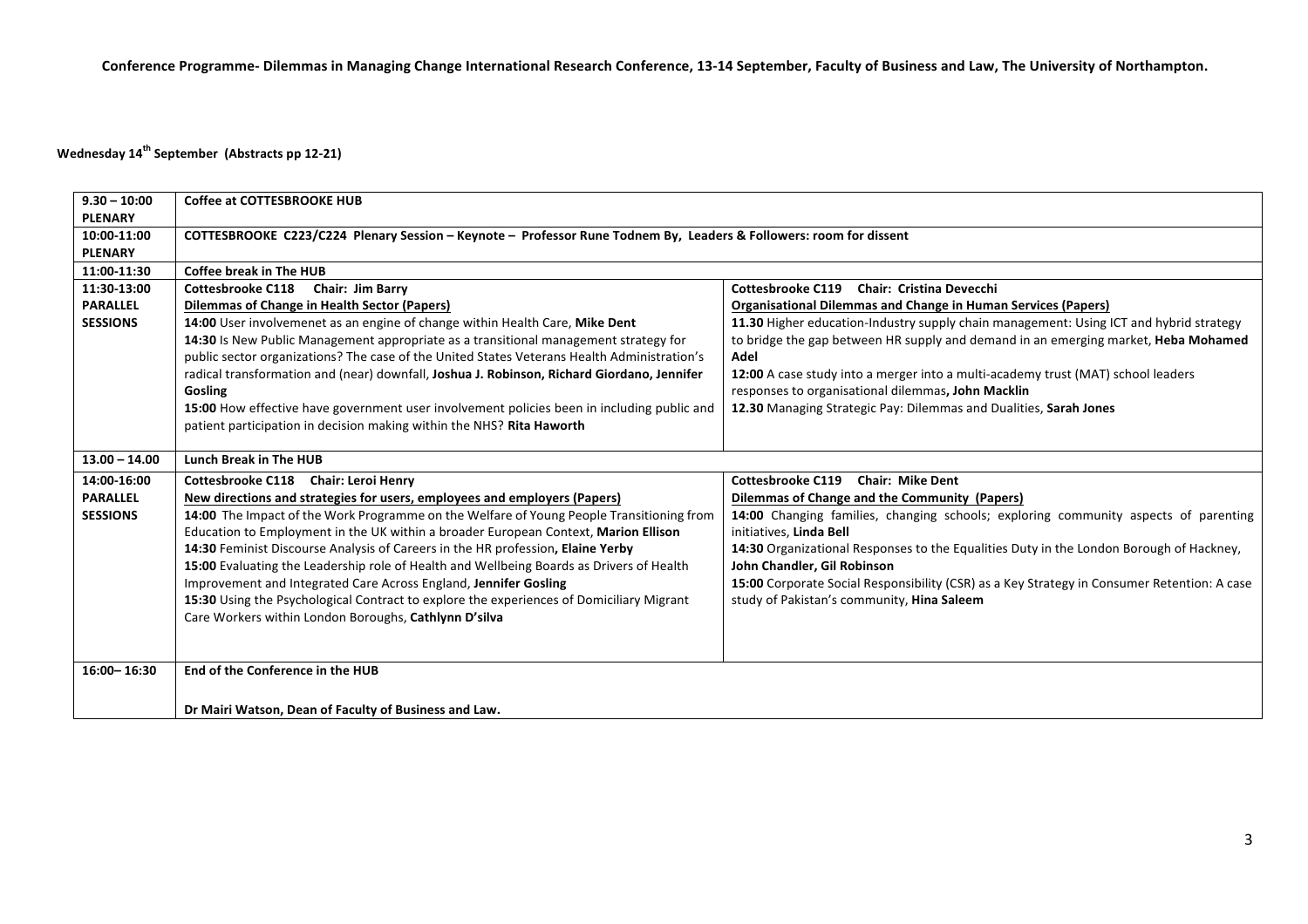## **Wednesday 14<sup>th</sup> September (Abstracts pp 12-21)**

| $9.30 - 10:00$<br><b>PLENARY</b> | Coffee at COTTESBROOKE HUB                                                                                         |                                                                                             |  |
|----------------------------------|--------------------------------------------------------------------------------------------------------------------|---------------------------------------------------------------------------------------------|--|
| 10:00-11:00<br><b>PLENARY</b>    | COTTESBROOKE C223/C224 Plenary Session - Keynote - Professor Rune Todnem By, Leaders & Followers: room for dissent |                                                                                             |  |
| 11:00-11:30                      | <b>Coffee break in The HUB</b>                                                                                     |                                                                                             |  |
| 11:30-13:00                      | Cottesbrooke C118 Chair: Jim Barry                                                                                 | Cottesbrooke C119 Chair: Cristina Devecchi                                                  |  |
| <b>PARALLEL</b>                  | <b>Dilemmas of Change in Health Sector (Papers)</b>                                                                | <b>Organisational Dilemmas and Change in Human Services (Papers)</b>                        |  |
| <b>SESSIONS</b>                  | 14:00 User involvemenet as an engine of change within Health Care, Mike Dent                                       | 11.30 Higher education-Industry supply chain management: Using ICT and hybrid strategy      |  |
|                                  | 14:30 Is New Public Management appropriate as a transitional management strategy for                               | to bridge the gap between HR supply and demand in an emerging market, Heba Mohamed          |  |
|                                  | public sector organizations? The case of the United States Veterans Health Administration's                        | Adel                                                                                        |  |
|                                  | radical transformation and (near) downfall, Joshua J. Robinson, Richard Giordano, Jennifer                         | 12:00 A case study into a merger into a multi-academy trust (MAT) school leaders            |  |
|                                  | <b>Gosling</b>                                                                                                     | responses to organisational dilemmas, John Macklin                                          |  |
|                                  | 15:00 How effective have government user involvement policies been in including public and                         | 12.30 Managing Strategic Pay: Dilemmas and Dualities, Sarah Jones                           |  |
|                                  | patient participation in decision making within the NHS? Rita Haworth                                              |                                                                                             |  |
| $13.00 - 14.00$                  | Lunch Break in The HUB                                                                                             |                                                                                             |  |
| 14:00-16:00                      | Cottesbrooke C118 Chair: Leroi Henry                                                                               | Cottesbrooke C119 Chair: Mike Dent                                                          |  |
| <b>PARALLEL</b>                  | New directions and strategies for users, employees and employers (Papers)                                          | Dilemmas of Change and the Community (Papers)                                               |  |
| <b>SESSIONS</b>                  | 14:00 The Impact of the Work Programme on the Welfare of Young People Transitioning from                           | 14:00 Changing families, changing schools; exploring community aspects of parenting         |  |
|                                  | Education to Employment in the UK within a broader European Context, Marion Ellison                                | initiatives, Linda Bell                                                                     |  |
|                                  | 14:30 Feminist Discourse Analysis of Careers in the HR profession, Elaine Yerby                                    | 14:30 Organizational Responses to the Equalities Duty in the London Borough of Hackney,     |  |
|                                  | 15:00 Evaluating the Leadership role of Health and Wellbeing Boards as Drivers of Health                           | John Chandler, Gil Robinson                                                                 |  |
|                                  | Improvement and Integrated Care Across England, Jennifer Gosling                                                   | 15:00 Corporate Social Responsibility (CSR) as a Key Strategy in Consumer Retention: A case |  |
|                                  | 15:30 Using the Psychological Contract to explore the experiences of Domiciliary Migrant                           | study of Pakistan's community, Hina Saleem                                                  |  |
|                                  | Care Workers within London Boroughs, Cathlynn D'silva                                                              |                                                                                             |  |
|                                  |                                                                                                                    |                                                                                             |  |
|                                  |                                                                                                                    |                                                                                             |  |
| 16:00-16:30                      | End of the Conference in the HUB                                                                                   |                                                                                             |  |
|                                  |                                                                                                                    |                                                                                             |  |
|                                  | Dr Mairi Watson, Dean of Faculty of Business and Law.                                                              |                                                                                             |  |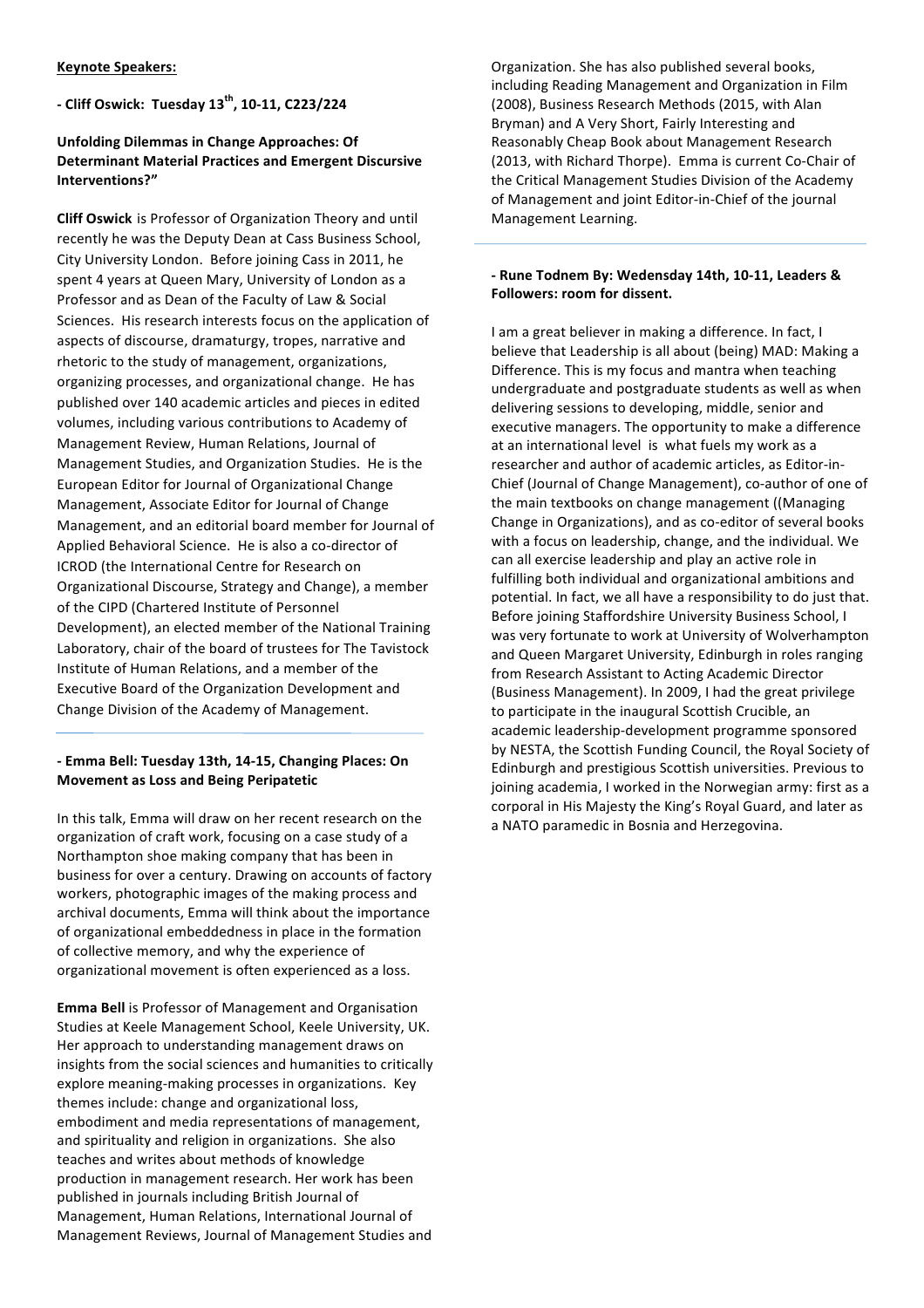**/ Cliff'Oswick:''Tuesday'13th,'10/11,'C223/224**

## **Unfolding Dilemmas in Change Approaches: Of** Determinant Material Practices and Emergent Discursive **Interventions?"**

**Cliff Oswick** is Professor of Organization Theory and until recently he was the Deputy Dean at Cass Business School, City University London. Before joining Cass in 2011, he spent 4 years at Queen Mary, University of London as a Professor and as Dean of the Faculty of Law & Social Sciences. His research interests focus on the application of aspects of discourse, dramaturgy, tropes, narrative and rhetoric to the study of management, organizations, organizing processes, and organizational change. He has published over 140 academic articles and pieces in edited volumes, including various contributions to Academy of Management Review, Human Relations, Journal of Management Studies, and Organization Studies. He is the European Editor for Journal of Organizational Change Management, Associate Editor for Journal of Change Management, and an editorial board member for Journal of Applied Behavioral Science. He is also a co-director of ICROD (the International Centre for Research on Organizational Discourse, Strategy and Change), a member of the CIPD (Chartered Institute of Personnel Development), an elected member of the National Training Laboratory, chair of the board of trustees for The Tavistock Institute of Human Relations, and a member of the Executive Board of the Organization Development and Change Division of the Academy of Management.

## **/ Emma'Bell: Tuesday'13th,'14/15,'Changing'Places:'On' Movement as Loss and Being Peripatetic**

In this talk, Emma will draw on her recent research on the organization of craft work, focusing on a case study of a Northampton shoe making company that has been in business for over a century. Drawing on accounts of factory workers, photographic images of the making process and archival documents, Emma will think about the importance of organizational embeddedness in place in the formation of collective memory, and why the experience of organizational movement is often experienced as a loss.

**Emma Bell** is Professor of Management and Organisation Studies at Keele Management School, Keele University, UK. Her approach to understanding management draws on insights from the social sciences and humanities to critically explore meaning-making processes in organizations. Key themes include: change and organizational loss, embodiment and media representations of management, and spirituality and religion in organizations. She also teaches and writes about methods of knowledge production in management research. Her work has been published in journals including British Journal of Management, Human Relations, International Journal of Management Reviews, Journal of Management Studies and

Organization. She has also published several books, including Reading Management and Organization in Film (2008), Business Research Methods (2015, with Alan Bryman) and A Very Short, Fairly Interesting and Reasonably Cheap Book about Management Research (2013, with Richard Thorpe). Emma is current Co-Chair of the Critical Management Studies Division of the Academy of Management and joint Editor-in-Chief of the journal Management Learning.

## **/ Rune'Todnem'By: Wedensday'14th,'10/11,'Leaders'&'** Followers: room for dissent.

I am a great believer in making a difference. In fact, I believe that Leadership is all about (being) MAD: Making a Difference. This is my focus and mantra when teaching undergraduate and postgraduate students as well as when delivering sessions to developing, middle, senior and executive managers. The opportunity to make a difference at an international level is what fuels my work as a researcher and author of academic articles, as Editor-in-Chief (Journal of Change Management), co-author of one of the main textbooks on change management ((Managing Change in Organizations), and as co-editor of several books with a focus on leadership, change, and the individual. We can all exercise leadership and play an active role in fulfilling both individual and organizational ambitions and potential. In fact, we all have a responsibility to do just that. Before joining Staffordshire University Business School, I was very fortunate to work at University of Wolverhampton and Queen Margaret University, Edinburgh in roles ranging from Research Assistant to Acting Academic Director (Business Management). In 2009, I had the great privilege to participate in the inaugural Scottish Crucible, an academic leadership-development programme sponsored by NESTA, the Scottish Funding Council, the Royal Society of Edinburgh and prestigious Scottish universities. Previous to joining academia, I worked in the Norwegian army: first as a corporal in His Majesty the King's Royal Guard, and later as a NATO paramedic in Bosnia and Herzegovina.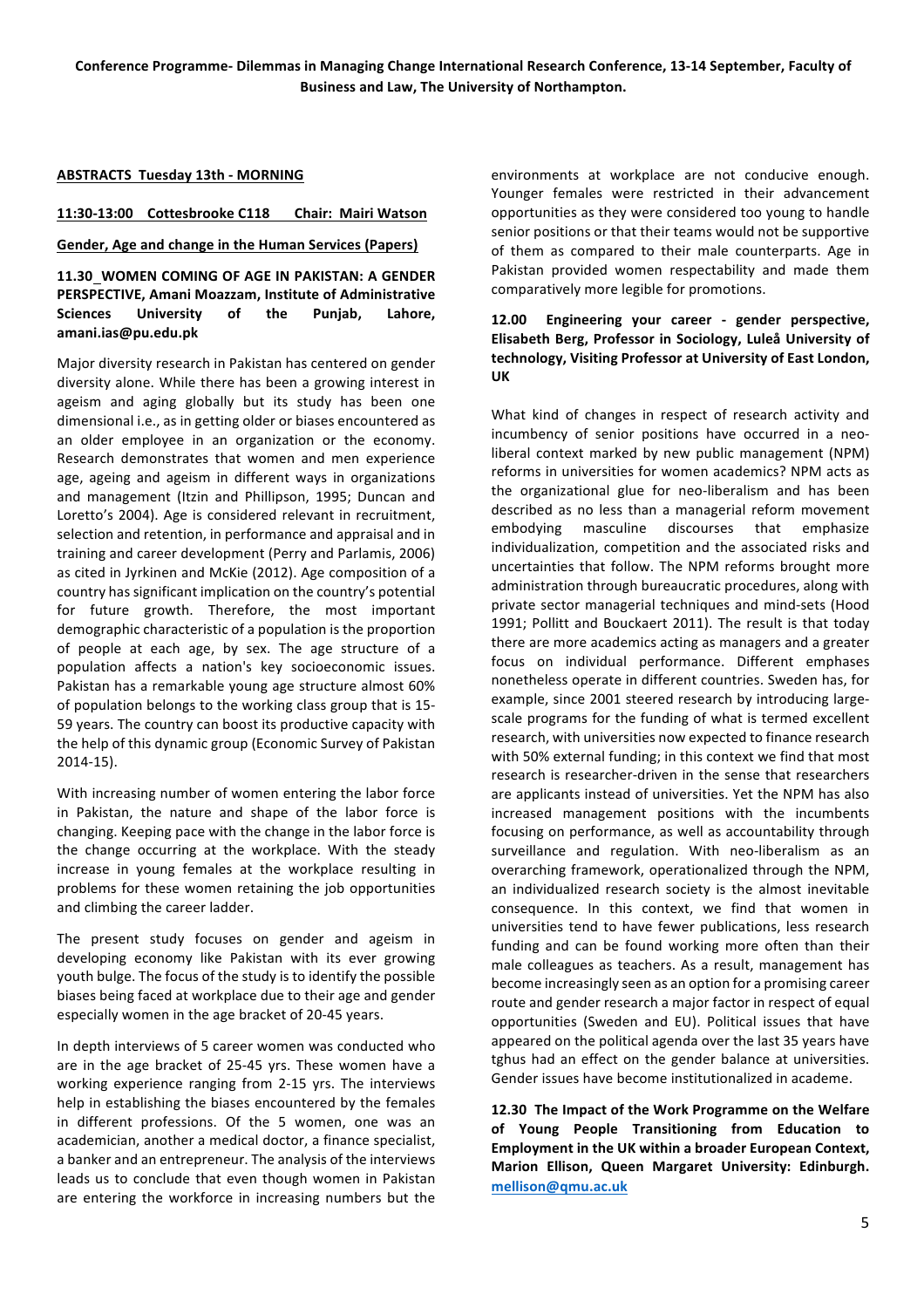## **ABSTRACTS Tuesday 13th - MORNING**

## 11:30-13:00 Cottesbrooke C118 Chair: Mairi Watson

#### **Gender, Age and change in the Human Services (Papers)**

11.30 WOMEN COMING OF AGE IN PAKISTAN: A GENDER PERSPECTIVE, Amani Moazzam, Institute of Administrative Sciences University of the Punjab, Lahore, **amani.ias@pu.edu.pk**

Major diversity research in Pakistan has centered on gender diversity alone. While there has been a growing interest in ageism and aging globally but its study has been one dimensional i.e., as in getting older or biases encountered as an older employee in an organization or the economy. Research demonstrates that women and men experience age, ageing and ageism in different ways in organizations and management (Itzin and Phillipson, 1995; Duncan and Loretto's 2004). Age is considered relevant in recruitment, selection and retention, in performance and appraisal and in training and career development (Perry and Parlamis, 2006) as cited in Jyrkinen and McKie (2012). Age composition of a country has significant implication on the country's potential for future growth. Therefore, the most important demographic characteristic of a population is the proportion of people at each age, by sex. The age structure of a population affects a nation's key socioeconomic issues. Pakistan has a remarkable young age structure almost 60% of population belongs to the working class group that is 15-59 years. The country can boost its productive capacity with the help of this dynamic group (Economic Survey of Pakistan  $2014-15$ ).

With increasing number of women entering the labor force in Pakistan, the nature and shape of the labor force is changing. Keeping pace with the change in the labor force is the change occurring at the workplace. With the steady increase in young females at the workplace resulting in problems for these women retaining the job opportunities and climbing the career ladder.

The present study focuses on gender and ageism in developing economy like Pakistan with its ever growing youth bulge. The focus of the study is to identify the possible biases being faced at workplace due to their age and gender especially women in the age bracket of 20-45 years.

In depth interviews of 5 career women was conducted who are in the age bracket of 25-45 yrs. These women have a working experience ranging from 2-15 yrs. The interviews help in establishing the biases encountered by the females in different professions. Of the 5 women, one was an academician, another a medical doctor, a finance specialist, a banker and an entrepreneur. The analysis of the interviews leads us to conclude that even though women in Pakistan are entering the workforce in increasing numbers but the

environments at workplace are not conducive enough. Younger females were restricted in their advancement opportunities as they were considered too young to handle senior positions or that their teams would not be supportive of them as compared to their male counterparts. Age in Pakistan provided women respectability and made them comparatively more legible for promotions.

## 12.00 Engineering your career - gender perspective, Elisabeth Berg, Professor in Sociology, Luleå University of technology, Visiting Professor at University of East London, **UK**

What kind of changes in respect of research activity and incumbency of senior positions have occurred in a neoliberal context marked by new public management (NPM) reforms in universities for women academics? NPM acts as the organizational glue for neo-liberalism and has been described as no less than a managerial reform movement embodying masculine discourses that emphasize individualization, competition and the associated risks and uncertainties that follow. The NPM reforms brought more administration through bureaucratic procedures, along with private sector managerial techniques and mind-sets (Hood 1991; Pollitt and Bouckaert 2011). The result is that today there are more academics acting as managers and a greater focus on individual performance. Different emphases nonetheless operate in different countries. Sweden has, for example, since 2001 steered research by introducing largescale programs for the funding of what is termed excellent research, with universities now expected to finance research with 50% external funding; in this context we find that most research is researcher-driven in the sense that researchers are applicants instead of universities. Yet the NPM has also increased management positions with the incumbents focusing on performance, as well as accountability through surveillance and regulation. With neo-liberalism as an overarching framework, operationalized through the NPM, an individualized research society is the almost inevitable consequence. In this context, we find that women in universities tend to have fewer publications, less research funding and can be found working more often than their male colleagues as teachers. As a result, management has become increasingly seen as an option for a promising career route and gender research a major factor in respect of equal opportunities (Sweden and EU). Political issues that have appeared on the political agenda over the last 35 years have tghus had an effect on the gender balance at universities. Gender issues have become institutionalized in academe.

12.30 The Impact of the Work Programme on the Welfare **of' Young' People' Transitioning' from' Education' to'** Employment in the UK within a broader European Context, **Marion' Ellison,' Queen' Margaret' University:' Edinburgh.' mellison@qmu.ac.uk**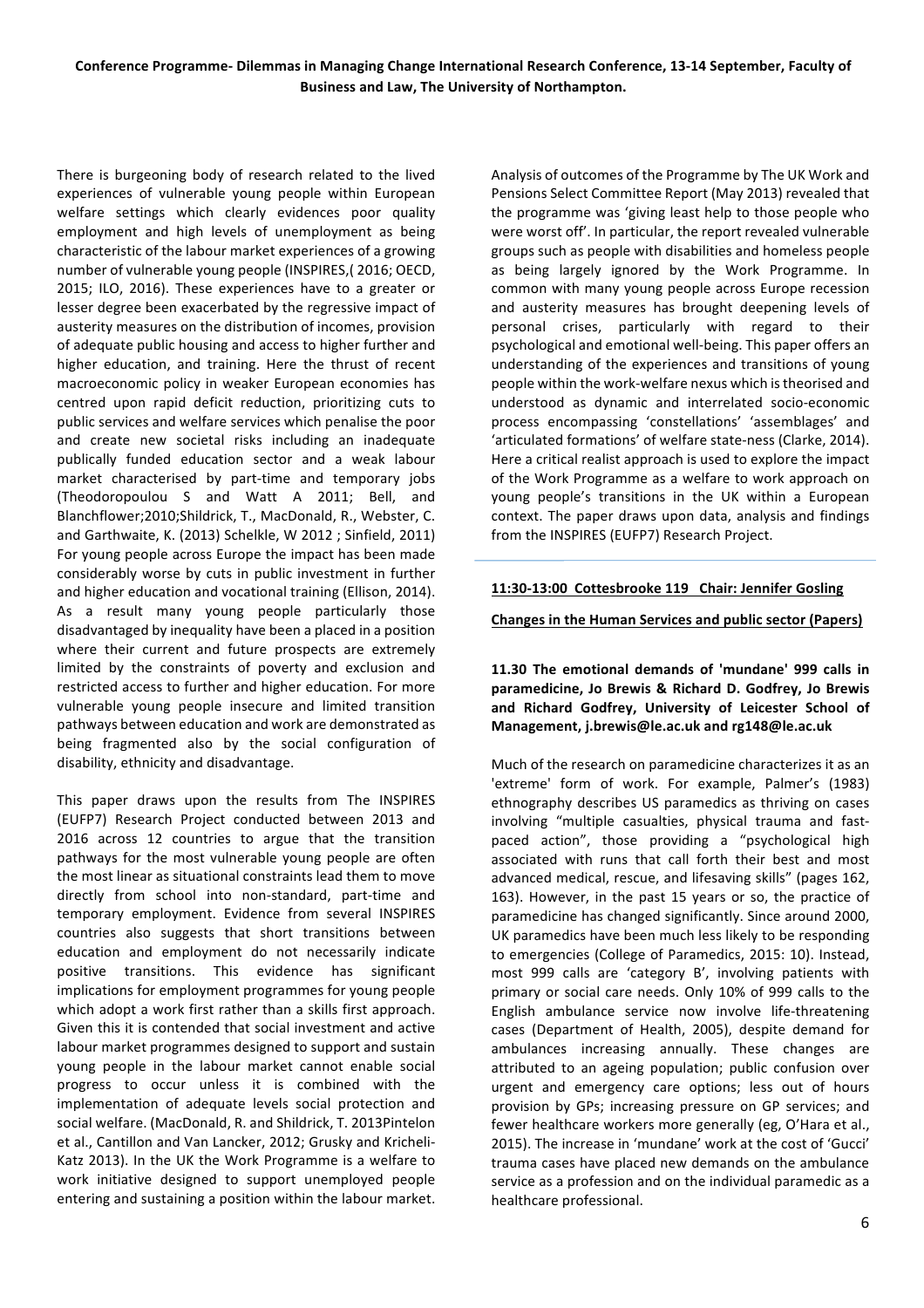There is burgeoning body of research related to the lived experiences of vulnerable young people within European welfare settings which clearly evidences poor quality employment and high levels of unemployment as being characteristic of the labour market experiences of a growing number of vulnerable young people (INSPIRES,(2016; OECD, 2015; ILO, 2016). These experiences have to a greater or lesser degree been exacerbated by the regressive impact of austerity measures on the distribution of incomes, provision of adequate public housing and access to higher further and higher education, and training. Here the thrust of recent macroeconomic policy in weaker European economies has centred upon rapid deficit reduction, prioritizing cuts to public services and welfare services which penalise the poor and create new societal risks including an inadequate publically funded education sector and a weak labour market characterised by part-time and temporary jobs (Theodoropoulou S and Watt A 2011; Bell, and Blanchflower;2010;Shildrick, T., MacDonald, R., Webster, C. and Garthwaite, K. (2013) Schelkle, W 2012 ; Sinfield, 2011) For young people across Europe the impact has been made considerably worse by cuts in public investment in further and higher education and vocational training (Ellison, 2014). As a result many young people particularly those disadvantaged by inequality have been a placed in a position where their current and future prospects are extremely limited by the constraints of poverty and exclusion and restricted access to further and higher education. For more vulnerable young people insecure and limited transition pathways between education and work are demonstrated as being fragmented also by the social configuration of disability, ethnicity and disadvantage.

This paper draws upon the results from The INSPIRES (EUFP7) Research Project conducted between 2013 and 2016 across 12 countries to argue that the transition pathways for the most vulnerable young people are often the most linear as situational constraints lead them to move directly from school into non-standard, part-time and temporary employment. Evidence from several INSPIRES countries also suggests that short transitions between education and employment do not necessarily indicate positive transitions. This evidence has significant implications for employment programmes for young people which adopt a work first rather than a skills first approach. Given this it is contended that social investment and active labour market programmes designed to support and sustain young people in the labour market cannot enable social progress to occur unless it is combined with the implementation of adequate levels social protection and social welfare. (MacDonald, R. and Shildrick, T. 2013Pintelon et al., Cantillon and Van Lancker, 2012; Grusky and Kricheli-Katz 2013). In the UK the Work Programme is a welfare to work initiative designed to support unemployed people entering and sustaining a position within the labour market.

Analysis of outcomes of the Programme by The UK Work and Pensions Select Committee Report (May 2013) revealed that the programme was 'giving least help to those people who were worst off'. In particular, the report revealed vulnerable groups such as people with disabilities and homeless people as being largely ignored by the Work Programme. In common with many young people across Europe recession and austerity measures has brought deepening levels of personal crises, particularly with regard to their psychological and emotional well-being. This paper offers an understanding of the experiences and transitions of young people within the work-welfare nexus which is theorised and understood as dynamic and interrelated socio-economic process encompassing 'constellations' 'assemblages' and 'articulated formations' of welfare state-ness (Clarke, 2014). Here a critical realist approach is used to explore the impact of the Work Programme as a welfare to work approach on young people's transitions in the UK within a European context. The paper draws upon data, analysis and findings from the INSPIRES (EUFP7) Research Project.

## 11:30-13:00 Cottesbrooke 119 Chair: Jennifer Gosling

#### **Changes'in'the'Human'Services'and'public'sector'(Papers)**

11.30 The emotional demands of 'mundane' 999 calls in paramedicine, Jo Brewis & Richard D. Godfrey, Jo Brewis and Richard Godfrey, University of Leicester School of **Management,'j.brewis@le.ac.uk and'rg148@le.ac.uk**

Much of the research on paramedicine characterizes it as an 'extreme' form of work. For example, Palmer's (1983) ethnography describes US paramedics as thriving on cases involving "multiple casualties, physical trauma and fastpaced action", those providing a "psychological high associated with runs that call forth their best and most advanced medical, rescue, and lifesaving skills" (pages 162, 163). However, in the past 15 years or so, the practice of paramedicine has changed significantly. Since around 2000, UK paramedics have been much less likely to be responding to emergencies (College of Paramedics, 2015: 10). Instead, most 999 calls are 'category B', involving patients with primary or social care needs. Only 10% of 999 calls to the English ambulance service now involve life-threatening cases (Department of Health, 2005), despite demand for ambulances increasing annually. These changes are attributed to an ageing population; public confusion over urgent and emergency care options; less out of hours provision by GPs; increasing pressure on GP services; and fewer healthcare workers more generally (eg, O'Hara et al., 2015). The increase in 'mundane' work at the cost of 'Gucci' trauma cases have placed new demands on the ambulance service as a profession and on the individual paramedic as a healthcare professional.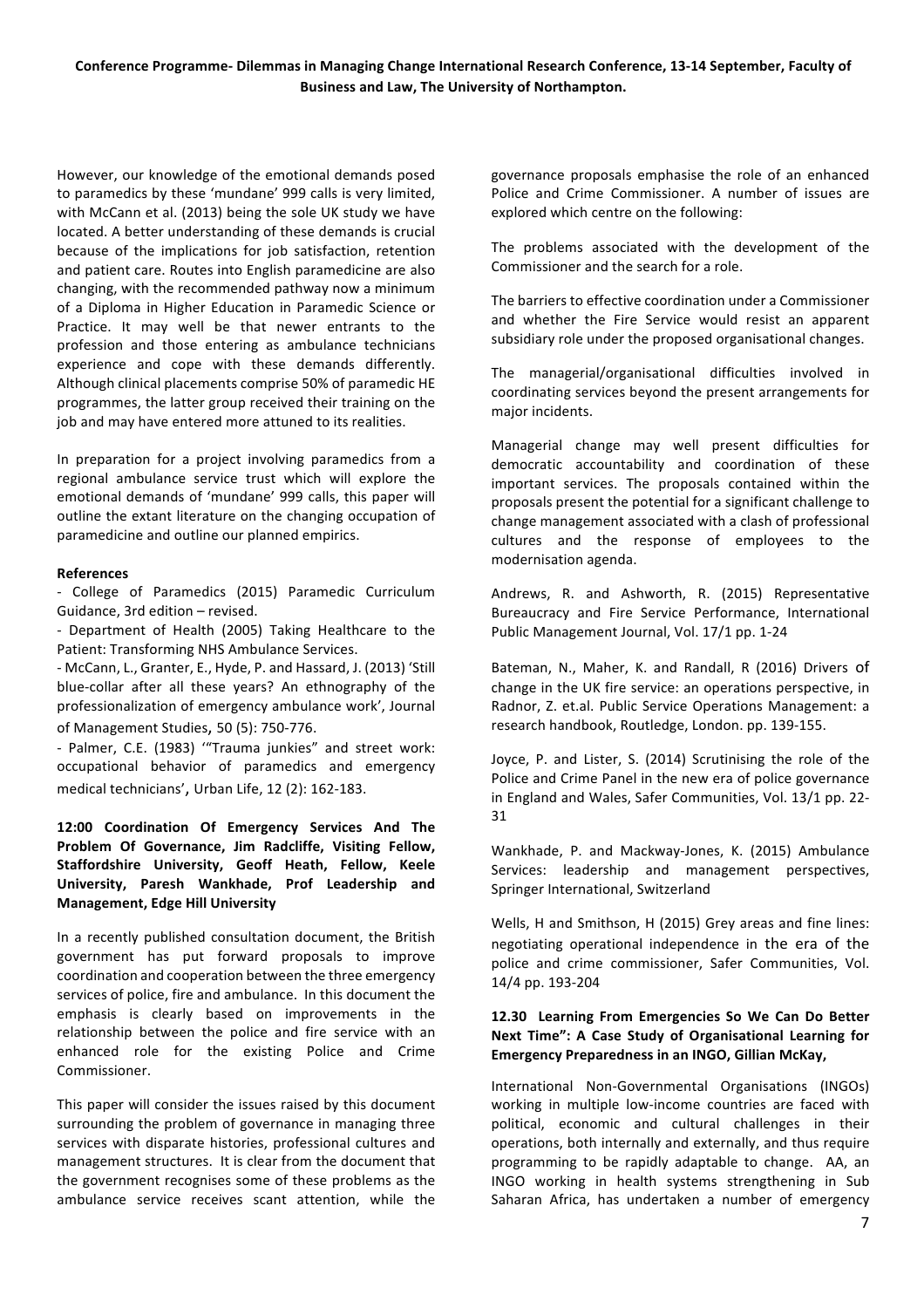However, our knowledge of the emotional demands posed to paramedics by these 'mundane' 999 calls is very limited, with McCann et al. (2013) being the sole UK study we have located. A better understanding of these demands is crucial because of the implications for job satisfaction, retention and patient care. Routes into English paramedicine are also changing, with the recommended pathway now a minimum of a Diploma in Higher Education in Paramedic Science or Practice. It may well be that newer entrants to the profession and those entering as ambulance technicians experience and cope with these demands differently. Although clinical placements comprise 50% of paramedic HE programmes, the latter group received their training on the job and may have entered more attuned to its realities.

In preparation for a project involving paramedics from a regional ambulance service trust which will explore the emotional demands of 'mundane' 999 calls, this paper will outline the extant literature on the changing occupation of paramedicine and outline our planned empirics.

#### **References**

- College of Paramedics (2015) Paramedic Curriculum Guidance, 3rd edition – revised.

- Department of Health (2005) Taking Healthcare to the Patient: Transforming NHS Ambulance Services.

- McCann, L., Granter, E., Hyde, P. and Hassard, J. (2013) 'Still blue-collar after all these years? An ethnography of the professionalization of emergency ambulance work', Journal of Management Studies, 50 (5): 750-776.

- Palmer, C.E. (1983) "Trauma junkies" and street work: occupational behavior of paramedics and emergency medical technicians', Urban Life, 12 (2): 162-183.

**12:00' Coordination' Of' Emergency' Services' And' The' Problem' Of' Governance,' Jim' Radcliffe,' Visiting' Fellow,' Staffordshire' University,' Geoff' Heath,' Fellow,' Keele' University,' Paresh' Wankhade,' Prof' Leadership' and' Management, Edge Hill University** 

In a recently published consultation document, the British government has put forward proposals to improve coordination and cooperation between the three emergency services of police, fire and ambulance. In this document the emphasis is clearly based on improvements in the relationship between the police and fire service with an enhanced role for the existing Police and Crime Commissioner.

This paper will consider the issues raised by this document surrounding the problem of governance in managing three services with disparate histories, professional cultures and management structures. It is clear from the document that the government recognises some of these problems as the ambulance service receives scant attention, while the

governance proposals emphasise the role of an enhanced Police and Crime Commissioner. A number of issues are explored which centre on the following:

The problems associated with the development of the Commissioner and the search for a role.

The barriers to effective coordination under a Commissioner and whether the Fire Service would resist an apparent subsidiary role under the proposed organisational changes.

The managerial/organisational difficulties involved in coordinating services beyond the present arrangements for major incidents.

Managerial change may well present difficulties for democratic accountability and coordination of these important services. The proposals contained within the proposals present the potential for a significant challenge to change management associated with a clash of professional cultures and the response of employees to the modernisation agenda.

Andrews, R. and Ashworth, R. (2015) Representative Bureaucracy and Fire Service Performance, International Public Management Journal, Vol. 17/1 pp. 1-24

Bateman, N., Maher, K. and Randall, R (2016) Drivers of change in the UK fire service: an operations perspective, in Radnor, Z. et.al. Public Service Operations Management: a research handbook, Routledge, London. pp. 139-155.

Joyce, P. and Lister, S. (2014) Scrutinising the role of the Police and Crime Panel in the new era of police governance in England and Wales, Safer Communities, Vol. 13/1 pp. 22-31

Wankhade, P. and Mackway-Jones, K. (2015) Ambulance Services: leadership and management perspectives, Springer International, Switzerland

Wells, H and Smithson, H (2015) Grey areas and fine lines: negotiating operational independence in the era of the police and crime commissioner. Safer Communities, Vol. 14/4 pp. 193-204

## 12.30 Learning From Emergencies So We Can Do Better Next Time": A Case Study of Organisational Learning for **Emergency Preparedness in an INGO, Gillian McKay,**

International Non-Governmental Organisations (INGOs) working in multiple low-income countries are faced with political, economic and cultural challenges in their operations, both internally and externally, and thus require programming to be rapidly adaptable to change. AA, an INGO working in health systems strengthening in Sub Saharan Africa, has undertaken a number of emergency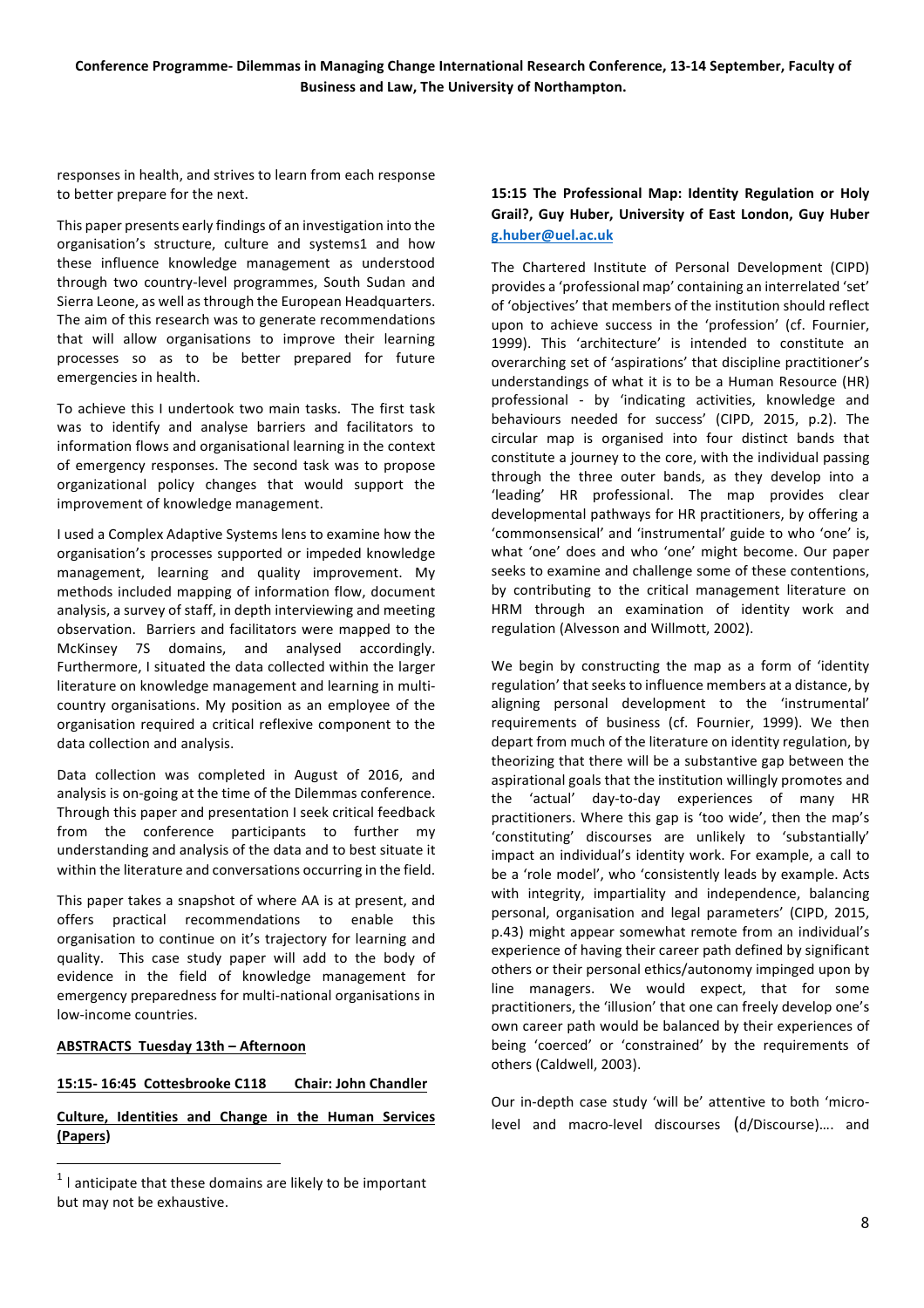responses in health, and strives to learn from each response to better prepare for the next.

This paper presents early findings of an investigation into the organisation's structure, culture and systems1 and how these influence knowledge management as understood through two country-level programmes, South Sudan and Sierra Leone, as well as through the European Headquarters. The aim of this research was to generate recommendations that will allow organisations to improve their learning processes so as to be better prepared for future emergencies in health.

To achieve this I undertook two main tasks. The first task was to identify and analyse barriers and facilitators to information flows and organisational learning in the context of emergency responses. The second task was to propose organizational policy changes that would support the improvement of knowledge management.

I used a Complex Adaptive Systems lens to examine how the organisation's processes supported or impeded knowledge management, learning and quality improvement. My methods included mapping of information flow, document analysis, a survey of staff, in depth interviewing and meeting observation. Barriers and facilitators were mapped to the McKinsey 7S domains, and analysed accordingly. Furthermore, I situated the data collected within the larger literature on knowledge management and learning in multicountry organisations. My position as an employee of the organisation required a critical reflexive component to the data collection and analysis.

Data collection was completed in August of 2016, and analysis is on-going at the time of the Dilemmas conference. Through this paper and presentation I seek critical feedback from the conference participants to further my understanding and analysis of the data and to best situate it within the literature and conversations occurring in the field.

This paper takes a snapshot of where AA is at present, and offers practical recommendations to enable this organisation to continue on it's trajectory for learning and quality. This case study paper will add to the body of evidence in the field of knowledge management for emergency preparedness for multi-national organisations in low-income countries.

## **ABSTRACTS Tuesday 13th - Afternoon**

############################################################

## 15:15-16:45 Cottesbrooke C118 Chair: John Chandler

## **Culture, Identities and Change in the Human Services (Papers)**

## 15:15 The Professional Map: Identity Regulation or Holy Grail?, Guy Huber, University of East London, Guy Huber **g.huber@uel.ac.uk**

The Chartered Institute of Personal Development (CIPD) provides a 'professional map' containing an interrelated 'set' of 'objectives' that members of the institution should reflect upon to achieve success in the 'profession' (cf. Fournier, 1999). This 'architecture' is intended to constitute an overarching set of 'aspirations' that discipline practitioner's understandings of what it is to be a Human Resource (HR) professional - by 'indicating activities, knowledge and behaviours needed for success' (CIPD, 2015, p.2). The circular map is organised into four distinct bands that constitute a journey to the core, with the individual passing through the three outer bands, as they develop into a 'leading' HR professional. The map provides clear developmental pathways for HR practitioners, by offering a 'commonsensical' and 'instrumental' guide to who 'one' is, what 'one' does and who 'one' might become. Our paper seeks to examine and challenge some of these contentions. by contributing to the critical management literature on HRM through an examination of identity work and regulation (Alvesson and Willmott, 2002).

We begin by constructing the map as a form of 'identity regulation' that seeks to influence members at a distance, by aligning personal development to the 'instrumental' requirements of business (cf. Fournier, 1999). We then depart from much of the literature on identity regulation, by theorizing that there will be a substantive gap between the aspirational goals that the institution willingly promotes and the 'actual' day-to-day experiences of many HR practitioners. Where this gap is 'too wide', then the map's 'constituting' discourses are unlikely to 'substantially' impact an individual's identity work. For example, a call to be a 'role model', who 'consistently leads by example. Acts with integrity, impartiality and independence, balancing personal, organisation and legal parameters' (CIPD, 2015, p.43) might appear somewhat remote from an individual's experience of having their career path defined by significant others or their personal ethics/autonomy impinged upon by line managers. We would expect, that for some practitioners, the 'illusion' that one can freely develop one's own career path would be balanced by their experiences of being 'coerced' or 'constrained' by the requirements of others (Caldwell, 2003).

Our in-depth case study 'will be' attentive to both 'microlevel and macro-level discourses  $(d/Discourse)....$  and

 $1$  I anticipate that these domains are likely to be important but may not be exhaustive.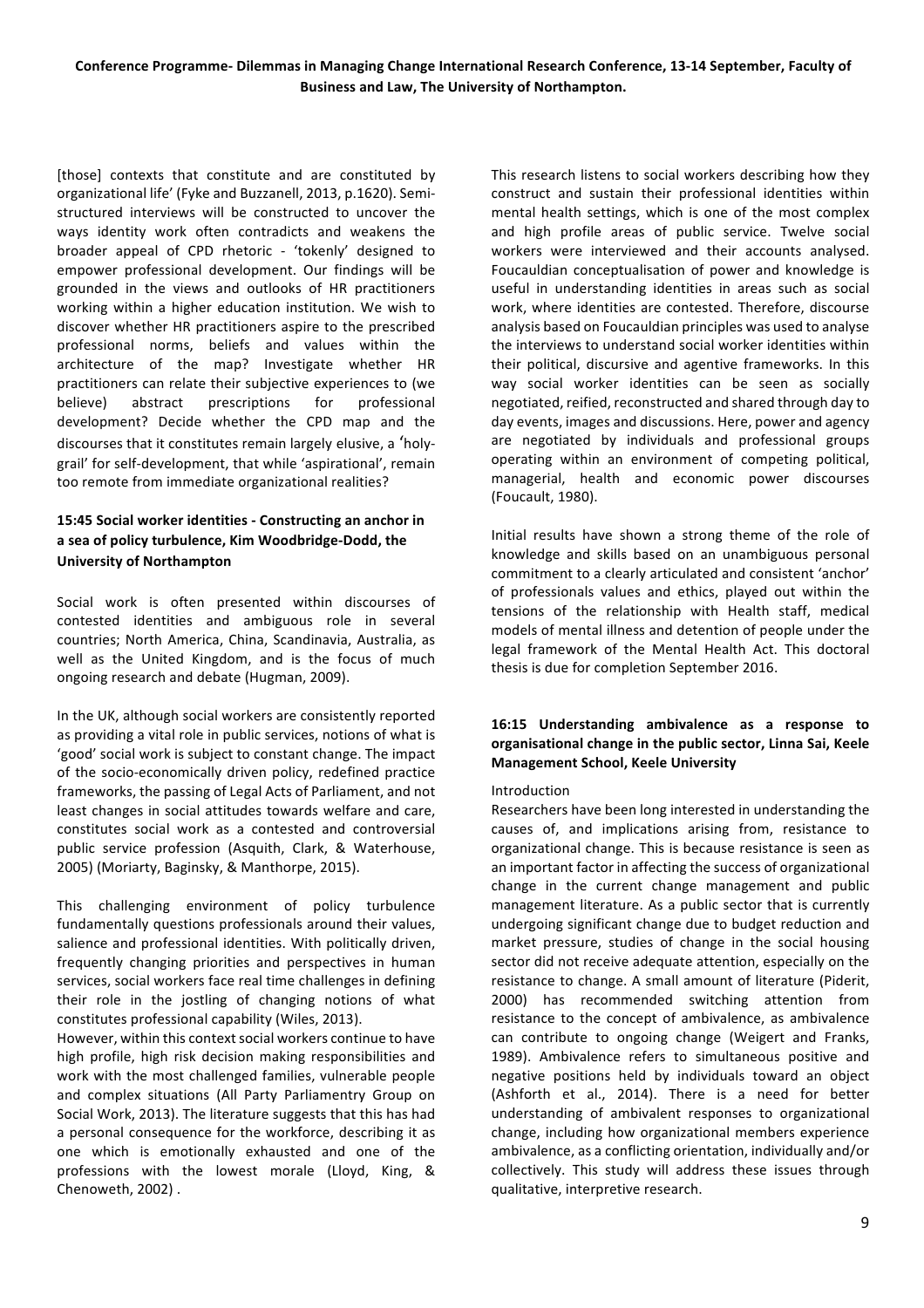[those] contexts that constitute and are constituted by organizational life' (Fyke and Buzzanell, 2013, p.1620). Semistructured interviews will be constructed to uncover the ways identity work often contradicts and weakens the broader appeal of CPD rhetoric - 'tokenly' designed to empower professional development. Our findings will be grounded in the views and outlooks of HR practitioners working within a higher education institution. We wish to discover whether HR practitioners aspire to the prescribed professional norms, beliefs and values within the architecture of the map? Investigate whether HR practitioners can relate their subjective experiences to (we believe) abstract prescriptions for professional development? Decide whether the CPD map and the discourses that it constitutes remain largely elusive, a 'holygrail' for self-development, that while 'aspirational', remain too remote from immediate organizational realities?

## 15:45 Social worker identities - Constructing an anchor in **a'sea'of'policy'turbulence,'Kim'Woodbridge/Dodd,'the' University of Northampton**

Social work is often presented within discourses of contested identities and ambiguous role in several countries: North America, China, Scandinavia, Australia, as well as the United Kingdom, and is the focus of much ongoing research and debate (Hugman, 2009).

In the UK, although social workers are consistently reported as providing a vital role in public services, notions of what is 'good' social work is subject to constant change. The impact of the socio-economically driven policy, redefined practice frameworks, the passing of Legal Acts of Parliament, and not least changes in social attitudes towards welfare and care, constitutes social work as a contested and controversial public service profession (Asquith, Clark, & Waterhouse, 2005) (Moriarty, Baginsky, & Manthorpe, 2015).

This challenging environment of policy turbulence fundamentally questions professionals around their values, salience and professional identities. With politically driven, frequently changing priorities and perspectives in human services, social workers face real time challenges in defining their role in the jostling of changing notions of what constitutes professional capability (Wiles, 2013).

However, within this context social workers continue to have high profile, high risk decision making responsibilities and work with the most challenged families, vulnerable people and complex situations (All Party Parliamentry Group on Social Work, 2013). The literature suggests that this has had a personal consequence for the workforce, describing it as one which is emotionally exhausted and one of the professions with the lowest morale (Lloyd, King, & Chenoweth, 2002) .

This research listens to social workers describing how they construct and sustain their professional identities within mental health settings, which is one of the most complex and high profile areas of public service. Twelve social workers were interviewed and their accounts analysed. Foucauldian conceptualisation of power and knowledge is useful in understanding identities in areas such as social work, where identities are contested. Therefore, discourse analysis based on Foucauldian principles was used to analyse the interviews to understand social worker identities within their political, discursive and agentive frameworks. In this way social worker identities can be seen as socially negotiated, reified, reconstructed and shared through day to day events, images and discussions. Here, power and agency are negotiated by individuals and professional groups operating within an environment of competing political, managerial, health and economic power discourses (Foucault,#1980).

Initial results have shown a strong theme of the role of knowledge and skills based on an unambiguous personal commitment to a clearly articulated and consistent 'anchor' of professionals values and ethics, played out within the tensions of the relationship with Health staff, medical models of mental illness and detention of people under the legal framework of the Mental Health Act. This doctoral thesis is due for completion September 2016.

## **16:15' Understanding' ambivalence' as' a' response' to' organisational'change'in'the'public'sector,'Linna'Sai,'Keele' Management School, Keele University**

## Introduction

Researchers have been long interested in understanding the causes of, and implications arising from, resistance to organizational change. This is because resistance is seen as an important factor in affecting the success of organizational change in the current change management and public management literature. As a public sector that is currently undergoing significant change due to budget reduction and market pressure, studies of change in the social housing sector did not receive adequate attention, especially on the resistance to change. A small amount of literature (Piderit, 2000) has recommended switching attention from resistance to the concept of ambivalence, as ambivalence can contribute to ongoing change (Weigert and Franks, 1989). Ambivalence refers to simultaneous positive and negative positions held by individuals toward an object (Ashforth et al., 2014). There is a need for better understanding of ambivalent responses to organizational change, including how organizational members experience ambivalence, as a conflicting orientation, individually and/or collectively. This study will address these issues through qualitative, interpretive research.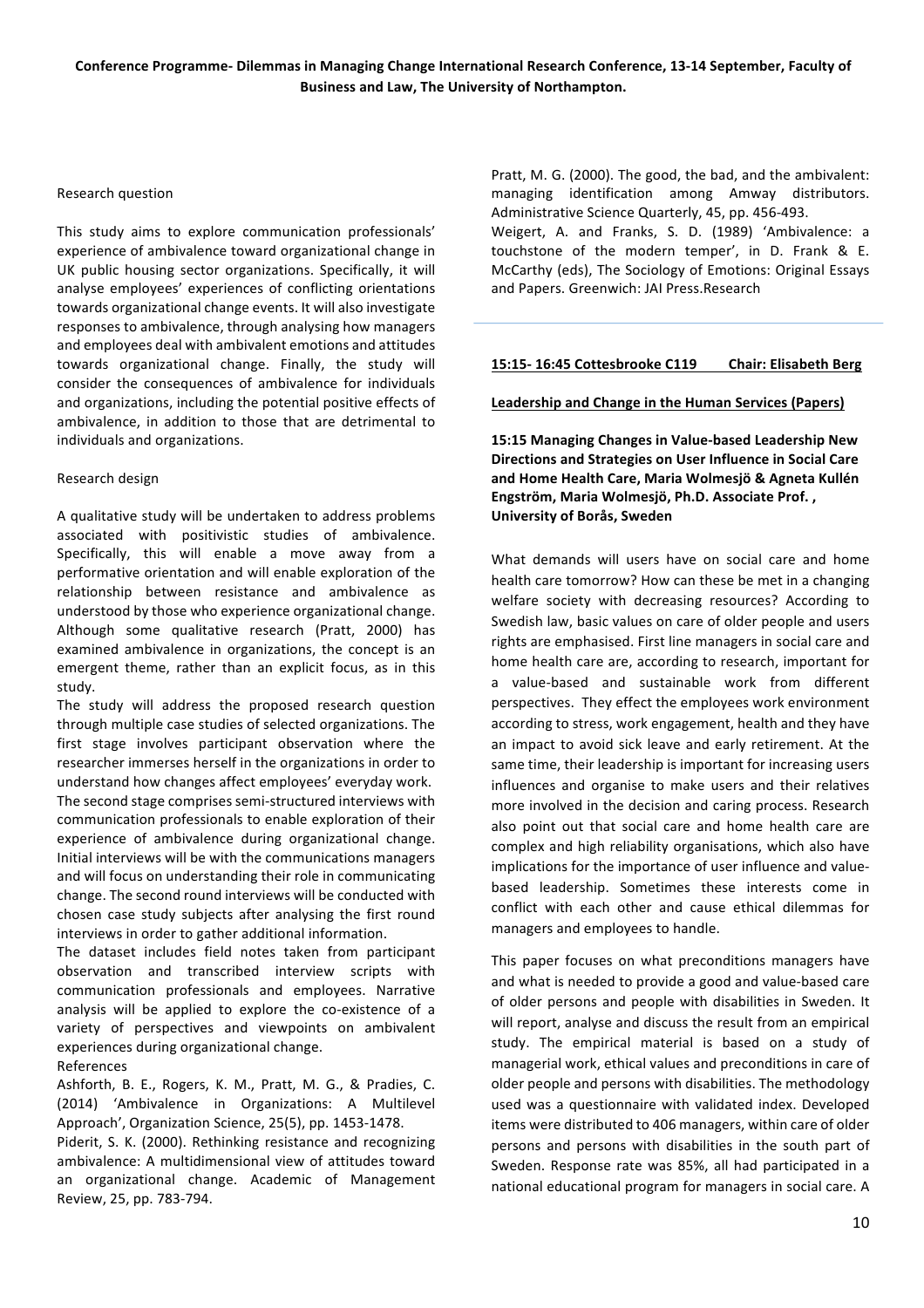#### Research question

This study aims to explore communication professionals' experience of ambivalence toward organizational change in UK public housing sector organizations. Specifically, it will analyse employees' experiences of conflicting orientations towards organizational change events. It will also investigate responses to ambivalence, through analysing how managers and employees deal with ambivalent emotions and attitudes towards organizational change. Finally, the study will consider the consequences of ambivalence for individuals and organizations, including the potential positive effects of ambivalence, in addition to those that are detrimental to individuals and organizations.

## Research design

A qualitative study will be undertaken to address problems associated with positivistic studies of ambivalence. Specifically, this will enable a move away from a performative orientation and will enable exploration of the relationship between resistance and ambivalence as understood by those who experience organizational change. Although some qualitative research (Pratt, 2000) has examined ambivalence in organizations, the concept is an emergent theme, rather than an explicit focus, as in this study.

The study will address the proposed research question through multiple case studies of selected organizations. The first stage involves participant observation where the researcher immerses herself in the organizations in order to understand how changes affect employees' everyday work. The second stage comprises semi-structured interviews with communication professionals to enable exploration of their experience of ambivalence during organizational change. Initial interviews will be with the communications managers and will focus on understanding their role in communicating change. The second round interviews will be conducted with chosen case study subjects after analysing the first round interviews in order to gather additional information.

The dataset includes field notes taken from participant observation and transcribed interview scripts with communication professionals and employees. Narrative analysis will be applied to explore the co-existence of a variety of perspectives and viewpoints on ambivalent experiences during organizational change. **References** 

Ashforth, B. E., Rogers, K. M., Pratt, M. G., & Pradies, C. (2014) 'Ambivalence in Organizations: A Multilevel Approach', Organization Science, 25(5), pp. 1453-1478.

Piderit, S. K. (2000). Rethinking resistance and recognizing ambivalence: A multidimensional view of attitudes toward an organizational change. Academic of Management Review, 25, pp. 783-794.

Pratt, M. G. (2000). The good, the bad, and the ambivalent: managing identification among Amway distributors. Administrative Science Quarterly, 45, pp. 456-493.

Weigert, A. and Franks, S. D. (1989) 'Ambivalence: a touchstone of the modern temper', in D. Frank & E. McCarthy (eds), The Sociology of Emotions: Original Essays and Papers. Greenwich: JAI Press.Research

## 15:15-16:45 Cottesbrooke C119 Chair: Elisabeth Berg

Leadership and Change in the Human Services (Papers)

**15:15'Managing'Changes'in'Value/based'Leadership'New' Directions'and'Strategies'on'User'Influence'in'Social'Care' and'Home'Health'Care, Maria'Wolmesjö'&'Agneta'Kullén'** Engström, Maria Wolmesjö, Ph.D. Associate Prof., **University of Borås, Sweden** 

What demands will users have on social care and home health care tomorrow? How can these be met in a changing welfare society with decreasing resources? According to Swedish law, basic values on care of older people and users rights are emphasised. First line managers in social care and home health care are, according to research, important for a value-based and sustainable work from different perspectives. They effect the employees work environment according to stress, work engagement, health and they have an impact to avoid sick leave and early retirement. At the same time, their leadership is important for increasing users influences and organise to make users and their relatives more involved in the decision and caring process. Research also point out that social care and home health care are complex and high reliability organisations, which also have implications for the importance of user influence and valuebased leadership. Sometimes these interests come in conflict with each other and cause ethical dilemmas for managers and employees to handle.

This paper focuses on what preconditions managers have and what is needed to provide a good and value-based care of older persons and people with disabilities in Sweden. It will report, analyse and discuss the result from an empirical study. The empirical material is based on a study of managerial work, ethical values and preconditions in care of older people and persons with disabilities. The methodology used was a questionnaire with validated index. Developed items were distributed to 406 managers, within care of older persons and persons with disabilities in the south part of Sweden. Response rate was 85%, all had participated in a national educational program for managers in social care. A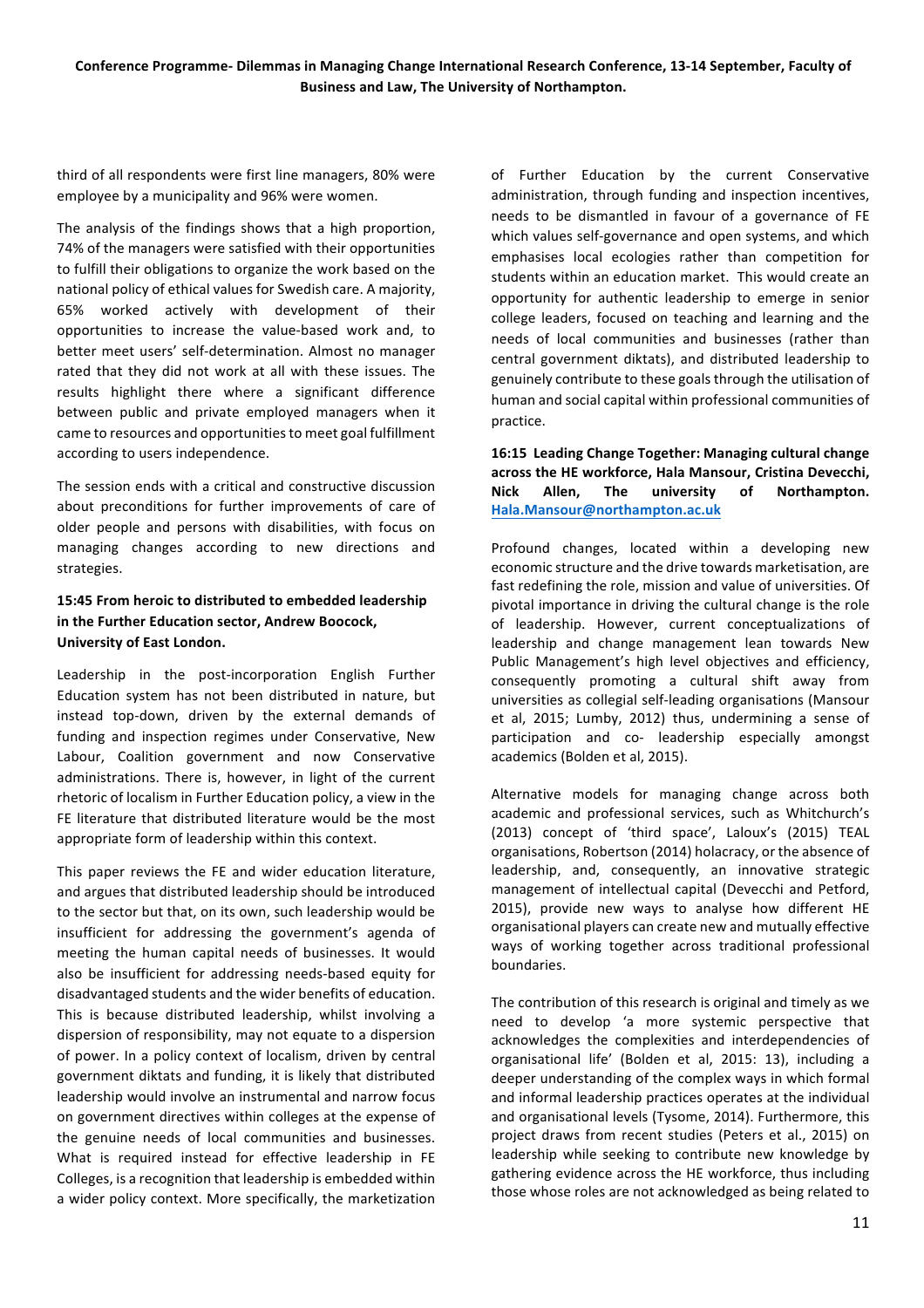third of all respondents were first line managers, 80% were employee by a municipality and 96% were women.

The analysis of the findings shows that a high proportion, 74% of the managers were satisfied with their opportunities to fulfill their obligations to organize the work based on the national policy of ethical values for Swedish care. A majority, 65% worked actively with development of their opportunities to increase the value-based work and, to better meet users' self-determination. Almost no manager rated that they did not work at all with these issues. The results highlight there where a significant difference between public and private employed managers when it came to resources and opportunities to meet goal fulfillment according to users independence.

The session ends with a critical and constructive discussion about preconditions for further improvements of care of older people and persons with disabilities, with focus on managing changes according to new directions and strategies.

## 15:45 From heroic to distributed to embedded leadership in the Further Education sector, Andrew Boocock, **University of East London.**

Leadership in the post-incorporation English Further Education system has not been distributed in nature, but instead top-down, driven by the external demands of funding and inspection regimes under Conservative, New Labour, Coalition government and now Conservative administrations. There is, however, in light of the current rhetoric of localism in Further Education policy, a view in the FE literature that distributed literature would be the most appropriate form of leadership within this context.

This paper reviews the FE and wider education literature, and argues that distributed leadership should be introduced to the sector but that, on its own, such leadership would be insufficient for addressing the government's agenda of meeting the human capital needs of businesses. It would also be insufficient for addressing needs-based equity for disadvantaged students and the wider benefits of education. This is because distributed leadership, whilst involving a dispersion of responsibility, may not equate to a dispersion of power. In a policy context of localism, driven by central government diktats and funding, it is likely that distributed leadership would involve an instrumental and narrow focus on government directives within colleges at the expense of the genuine needs of local communities and businesses. What is required instead for effective leadership in FE Colleges, is a recognition that leadership is embedded within a wider policy context. More specifically, the marketization

of Further Education by the current Conservative administration, through funding and inspection incentives, needs to be dismantled in favour of a governance of FE which values self-governance and open systems, and which emphasises local ecologies rather than competition for students within an education market. This would create an opportunity for authentic leadership to emerge in senior college leaders, focused on teaching and learning and the needs of local communities and businesses (rather than central government diktats), and distributed leadership to genuinely contribute to these goals through the utilisation of human and social capital within professional communities of practice.

## 16:15 Leading Change Together: Managing cultural change across the HE workforce, Hala Mansour, Cristina Devecchi, Nick Allen, The university of Northampton. **Hala.Mansour@northampton.ac.uk**

Profound changes, located within a developing new economic structure and the drive towards marketisation, are fast redefining the role, mission and value of universities. Of pivotal importance in driving the cultural change is the role of leadership. However, current conceptualizations of leadership and change management lean towards New Public Management's high level objectives and efficiency, consequently promoting a cultural shift away from universities as collegial self-leading organisations (Mansour et al, 2015; Lumby, 2012) thus, undermining a sense of participation and co- leadership especially amongst academics (Bolden et al, 2015).

Alternative models for managing change across both academic and professional services, such as Whitchurch's (2013) concept of 'third space', Laloux's (2015) TEAL organisations, Robertson (2014) holacracy, or the absence of leadership, and, consequently, an innovative strategic management of intellectual capital (Devecchi and Petford, 2015), provide new ways to analyse how different HE organisational players can create new and mutually effective ways of working together across traditional professional boundaries.#

The contribution of this research is original and timely as we need to develop 'a more systemic perspective that acknowledges the complexities and interdependencies of organisational life' (Bolden et al, 2015: 13), including a deeper understanding of the complex ways in which formal and informal leadership practices operates at the individual and organisational levels (Tysome, 2014). Furthermore, this project draws from recent studies (Peters et al., 2015) on leadership while seeking to contribute new knowledge by gathering evidence across the HE workforce, thus including those whose roles are not acknowledged as being related to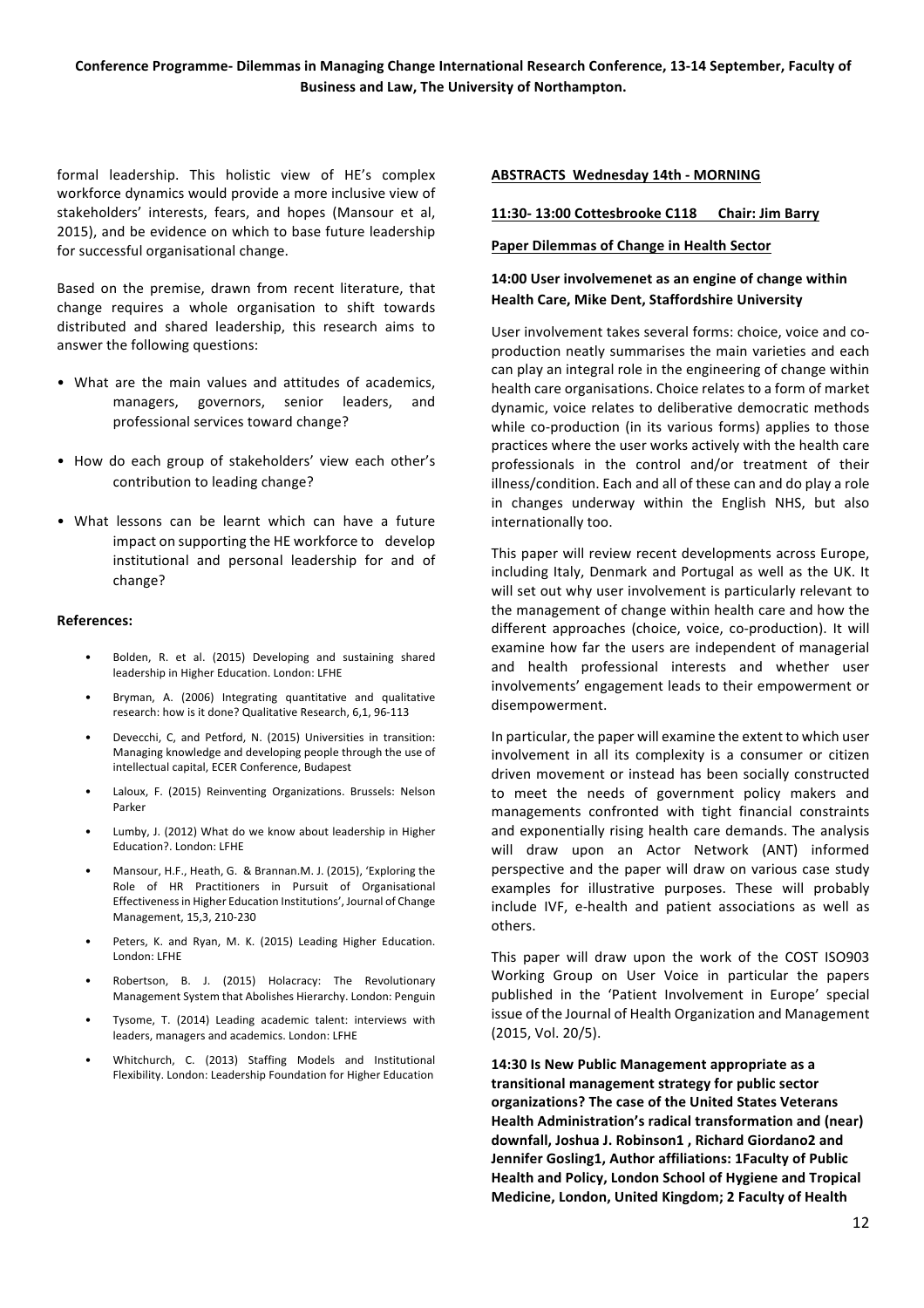formal leadership. This holistic view of HE's complex workforce dynamics would provide a more inclusive view of stakeholders' interests, fears, and hopes (Mansour et al, 2015), and be evidence on which to base future leadership for successful organisational change.

Based on the premise, drawn from recent literature, that change requires a whole organisation to shift towards distributed and shared leadership, this research aims to answer the following questions:

- What are the main values and attitudes of academics, managers, governors, senior leaders, and professional services toward change?
- How do each group of stakeholders' view each other's contribution to leading change?
- What lessons can be learnt which can have a future impact on supporting the HE workforce to develop institutional and personal leadership for and of change?

#### **References:**

- Bolden, R. et al. (2015) Developing and sustaining shared leadership in Higher Education. London: LFHE
- Bryman, A. (2006) Integrating quantitative and qualitative research: how is it done? Qualitative Research, 6.1, 96-113
- Devecchi, C, and Petford, N. (2015) Universities in transition: Managing knowledge and developing people through the use of intellectual capital, ECER Conference, Budapest
- Laloux, F. (2015) Reinventing Organizations. Brussels: Nelson Parker
- Lumby, J. (2012) What do we know about leadership in Higher Education?. London: LFHE
- Mansour, H.F., Heath, G. & Brannan.M. J. (2015), 'Exploring the Role of HR Practitioners in Pursuit of Organisational Effectiveness in Higher Education Institutions', Journal of Change Management, 15,3, 210-230
- Peters, K. and Ryan, M. K. (2015) Leading Higher Education. London: LFHE
- Robertson, B. J. (2015) Holacracy: The Revolutionary Management System that Abolishes Hierarchy. London: Penguin
- Tysome, T. (2014) Leading academic talent: interviews with leaders, managers and academics. London: LFHE
- Whitchurch, C. (2013) Staffing Models and Institutional Flexibility. London: Leadership Foundation for Higher Education

#### **ABSTRACTS Wednesday 14th - MORNING**

#### **11:30/ 13:00'Cottesbrooke'C118''''''Chair:'Jim'Barry**

#### Paper Dilemmas of Change in Health Sector

## 14:00 User involvemenet as an engine of change within Health Care, Mike Dent, Staffordshire University

User involvement takes several forms: choice, voice and coproduction neatly summarises the main varieties and each can play an integral role in the engineering of change within health care organisations. Choice relates to a form of market dynamic, voice relates to deliberative democratic methods while co-production (in its various forms) applies to those practices where the user works actively with the health care professionals in the control and/or treatment of their illness/condition. Each and all of these can and do play a role in changes underway within the English NHS, but also internationally too.

This paper will review recent developments across Europe, including Italy, Denmark and Portugal as well as the UK. It will set out why user involvement is particularly relevant to the management of change within health care and how the different approaches (choice, voice, co-production). It will examine how far the users are independent of managerial and health professional interests and whether user involvements' engagement leads to their empowerment or disempowerment.#

In particular, the paper will examine the extent to which user involvement in all its complexity is a consumer or citizen driven movement or instead has been socially constructed to meet the needs of government policy makers and managements confronted with tight financial constraints and exponentially rising health care demands. The analysis will draw upon an Actor Network (ANT) informed perspective and the paper will draw on various case study examples for illustrative purposes. These will probably include IVF, e-health and patient associations as well as others.

This paper will draw upon the work of the COST ISO903 Working Group on User Voice in particular the papers published in the 'Patient Involvement in Europe' special issue of the Journal of Health Organization and Management (2015, Vol. 20/5).

14:30 Is New Public Management appropriate as a **transitional'management'strategy'for'public'sector' organizations?'The'case'of'the'United'States'Veterans' Health Administration's radical transformation and (near)** downfall, Joshua J. Robinson1, Richard Giordano2 and Jennifer Gosling1, Author affiliations: 1Faculty of Public Health and Policy, London School of Hygiene and Tropical Medicine, London, United Kingdom; 2 Faculty of Health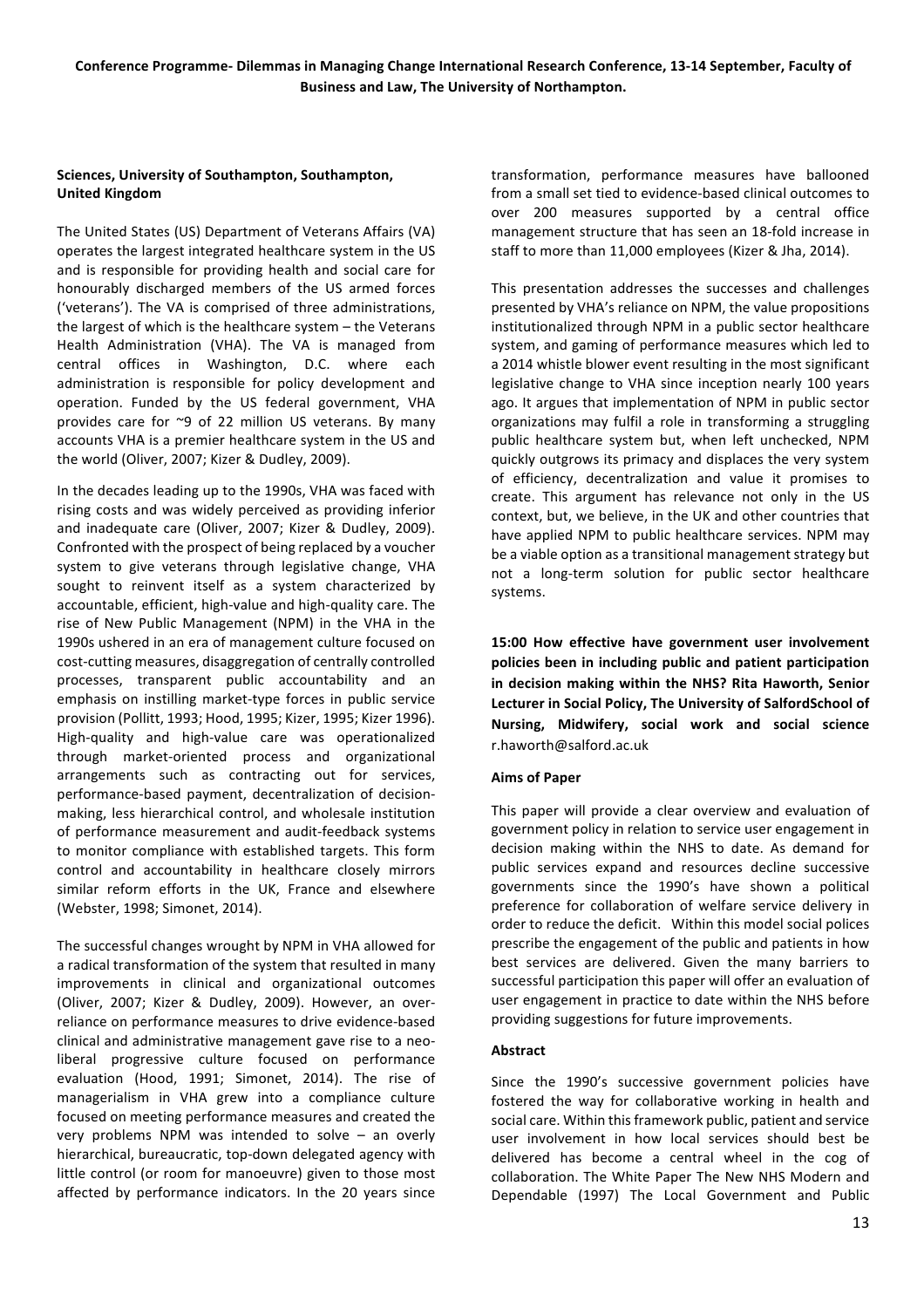## Sciences, University of Southampton, Southampton, **United'Kingdom**

The United States (US) Department of Veterans Affairs (VA) operates the largest integrated healthcare system in the US and is responsible for providing health and social care for honourably discharged members of the US armed forces ('veterans'). The VA is comprised of three administrations, the largest of which is the healthcare system – the Veterans Health Administration (VHA). The VA is managed from central offices in Washington, D.C. where each administration is responsible for policy development and operation. Funded by the US federal government, VHA provides care for  $~9$  of 22 million US veterans. By many accounts VHA is a premier healthcare system in the US and the world (Oliver, 2007; Kizer & Dudley, 2009).

In the decades leading up to the 1990s, VHA was faced with rising costs and was widely perceived as providing inferior and inadequate care (Oliver, 2007; Kizer & Dudley, 2009). Confronted with the prospect of being replaced by a voucher system to give veterans through legislative change, VHA sought to reinvent itself as a system characterized by accountable, efficient, high-value and high-quality care. The rise of New Public Management (NPM) in the VHA in the 1990s ushered in an era of management culture focused on cost-cutting measures, disaggregation of centrally controlled processes, transparent public accountability and an emphasis on instilling market-type forces in public service provision (Pollitt, 1993; Hood, 1995; Kizer, 1995; Kizer 1996). High-quality and high-value care was operationalized through market-oriented process and organizational arrangements such as contracting out for services, performance-based payment, decentralization of decisionmaking, less hierarchical control, and wholesale institution of performance measurement and audit-feedback systems to monitor compliance with established targets. This form control and accountability in healthcare closely mirrors similar reform efforts in the UK, France and elsewhere (Webster, 1998; Simonet, 2014).

The successful changes wrought by NPM in VHA allowed for a radical transformation of the system that resulted in many improvements in clinical and organizational outcomes (Oliver, 2007; Kizer & Dudley, 2009). However, an overreliance on performance measures to drive evidence-based clinical and administrative management gave rise to a neoliberal progressive culture focused on performance evaluation (Hood, 1991; Simonet, 2014). The rise of managerialism in VHA grew into a compliance culture focused on meeting performance measures and created the very problems NPM was intended to solve – an overly hierarchical, bureaucratic, top-down delegated agency with little control (or room for manoeuvre) given to those most affected by performance indicators. In the 20 years since

transformation, performance measures have ballooned from a small set tied to evidence-based clinical outcomes to over 200 measures supported by a central office management structure that has seen an 18-fold increase in staff to more than 11,000 employees (Kizer & Jha, 2014).

This presentation addresses the successes and challenges presented by VHA's reliance on NPM, the value propositions institutionalized through NPM in a public sector healthcare system, and gaming of performance measures which led to a 2014 whistle blower event resulting in the most significant legislative change to VHA since inception nearly 100 years ago. It argues that implementation of NPM in public sector organizations may fulfil a role in transforming a struggling public healthcare system but, when left unchecked, NPM quickly outgrows its primacy and displaces the very system of efficiency, decentralization and value it promises to create. This argument has relevance not only in the US context, but, we believe, in the UK and other countries that have applied NPM to public healthcare services. NPM may be a viable option as a transitional management strategy but not a long-term solution for public sector healthcare systems.

**15:00' How' effective' have' government' user' involvement' policies'been'in'including'public'and'patient'participation'** in decision making within the NHS? Rita Haworth, Senior Lecturer in Social Policy, The University of SalfordSchool of **Nursing,' Midwifery,' social' work' and' social' science** r.haworth@salford.ac.uk

## **Aims of Paper**

This paper will provide a clear overview and evaluation of government policy in relation to service user engagement in decision making within the NHS to date. As demand for public services expand and resources decline successive governments since the 1990's have shown a political preference for collaboration of welfare service delivery in order to reduce the deficit. Within this model social polices prescribe the engagement of the public and patients in how best services are delivered. Given the many barriers to successful participation this paper will offer an evaluation of user engagement in practice to date within the NHS before providing suggestions for future improvements.

## **Abstract**

Since the 1990's successive government policies have fostered the way for collaborative working in health and social care. Within this framework public, patient and service user involvement in how local services should best be delivered has become a central wheel in the cog of collaboration. The White Paper The New NHS Modern and Dependable (1997) The Local Government and Public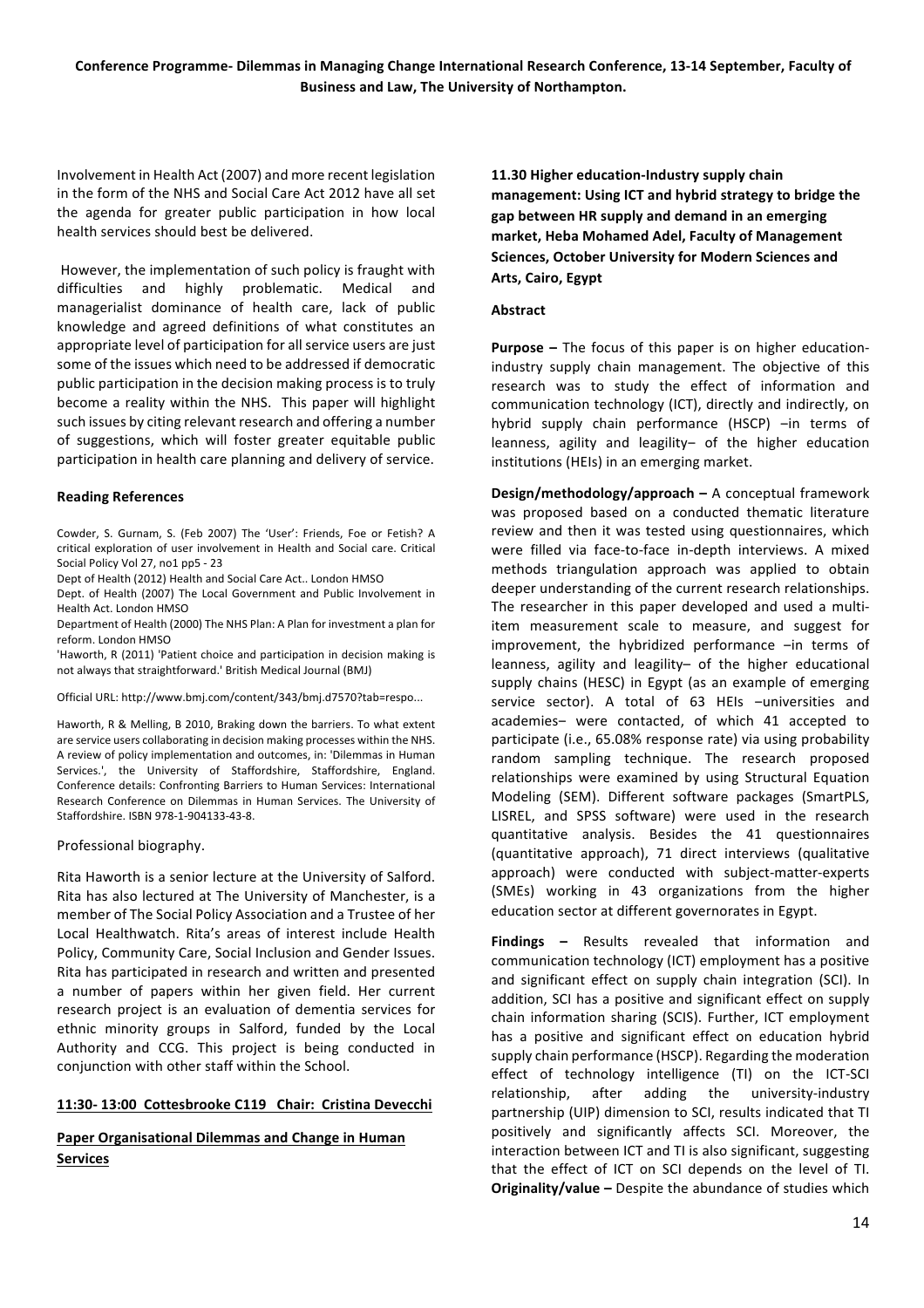Involvement in Health Act (2007) and more recent legislation in the form of the NHS and Social Care Act 2012 have all set the agenda for greater public participation in how local health services should best be delivered.

However, the implementation of such policy is fraught with difficulties and highly problematic. Medical and managerialist dominance of health care, lack of public knowledge and agreed definitions of what constitutes an appropriate level of participation for all service users are just some of the issues which need to be addressed if democratic public participation in the decision making process is to truly become a reality within the NHS. This paper will highlight such issues by citing relevant research and offering a number of suggestions, which will foster greater equitable public participation in health care planning and delivery of service.

## **Reading'References**

Cowder, S. Gurnam, S. (Feb 2007) The 'User': Friends, Foe or Fetish? A critical exploration of user involvement in Health and Social care. Critical Social Policy Vol 27, no1 pp5 - 23

Dept of Health (2012) Health and Social Care Act.. London HMSO

Dept. of Health (2007) The Local Government and Public Involvement in Health Act. London HMSO

Department of Health (2000) The NHS Plan: A Plan for investment a plan for reform. London HMSO

'Haworth, R (2011) 'Patient choice and participation in decision making is not always that straightforward.' British Medical Journal (BMJ)

Official URL: http://www.bmj.com/content/343/bmj.d7570?tab=respo...

Haworth, R & Melling, B 2010, Braking down the barriers. To what extent are service users collaborating in decision making processes within the NHS. A review of policy implementation and outcomes, in: 'Dilemmas in Human Services.', the University of Staffordshire, Staffordshire, England. Conference details: Confronting Barriers to Human Services: International Research Conference on Dilemmas in Human Services. The University of Staffordshire. ISBN 978-1-904133-43-8.

## Professional biography.

Rita Haworth is a senior lecture at the University of Salford. Rita has also lectured at The University of Manchester, is a member of The Social Policy Association and a Trustee of her Local Healthwatch. Rita's areas of interest include Health Policy, Community Care, Social Inclusion and Gender Issues. Rita has participated in research and written and presented a number of papers within her given field. Her current research project is an evaluation of dementia services for ethnic minority groups in Salford, funded by the Local Authority and CCG. This project is being conducted in conjunction with other staff within the School.

## 11:30-13:00 Cottesbrooke C119 Chair: Cristina Devecchi

## Paper Organisational Dilemmas and Change in Human **Services''**

11.30 Higher education-Industry supply chain management: Using ICT and hybrid strategy to bridge the **gap'between'HR'supply'and'demand'in'an'emerging'** market, Heba Mohamed Adel, Faculty of Management Sciences, October University for Modern Sciences and **Arts, Cairo, Egypt** 

#### **Abstract**

**Purpose** – The focus of this paper is on higher educationindustry supply chain management. The objective of this research was to study the effect of information and communication technology (ICT), directly and indirectly, on hybrid supply chain performance (HSCP) -in terms of leanness, agility and leagility- of the higher education institutions (HEIs) in an emerging market.

**Design/methodology/approach** – A conceptual framework was proposed based on a conducted thematic literature review and then it was tested using questionnaires, which were filled via face-to-face in-depth interviews. A mixed methods triangulation approach was applied to obtain deeper understanding of the current research relationships. The researcher in this paper developed and used a multiitem measurement scale to measure, and suggest for improvement, the hybridized performance  $-$ in terms of leanness, agility and leagility- of the higher educational supply chains (HESC) in Egypt (as an example of emerging service sector). A total of 63 HEIs -universities and academies- were contacted, of which 41 accepted to participate (i.e., 65.08% response rate) via using probability random sampling technique. The research proposed relationships were examined by using Structural Equation Modeling (SEM). Different software packages (SmartPLS, LISREL, and SPSS software) were used in the research quantitative analysis. Besides the 41 questionnaires (quantitative approach), 71 direct interviews (qualitative approach) were conducted with subject-matter-experts (SMEs) working in 43 organizations from the higher education sector at different governorates in Egypt.

**Findings –** Results revealed that information and communication technology (ICT) employment has a positive and significant effect on supply chain integration (SCI). In addition, SCI has a positive and significant effect on supply chain information sharing (SCIS). Further, ICT employment has a positive and significant effect on education hybrid supply chain performance (HSCP). Regarding the moderation effect of technology intelligence (TI) on the ICT-SCI relationship, after adding the university-industry partnership (UIP) dimension to SCI, results indicated that TI positively and significantly affects SCI. Moreover, the interaction between ICT and TI is also significant, suggesting that the effect of ICT on SCI depends on the level of TI. **Originality/value** – Despite the abundance of studies which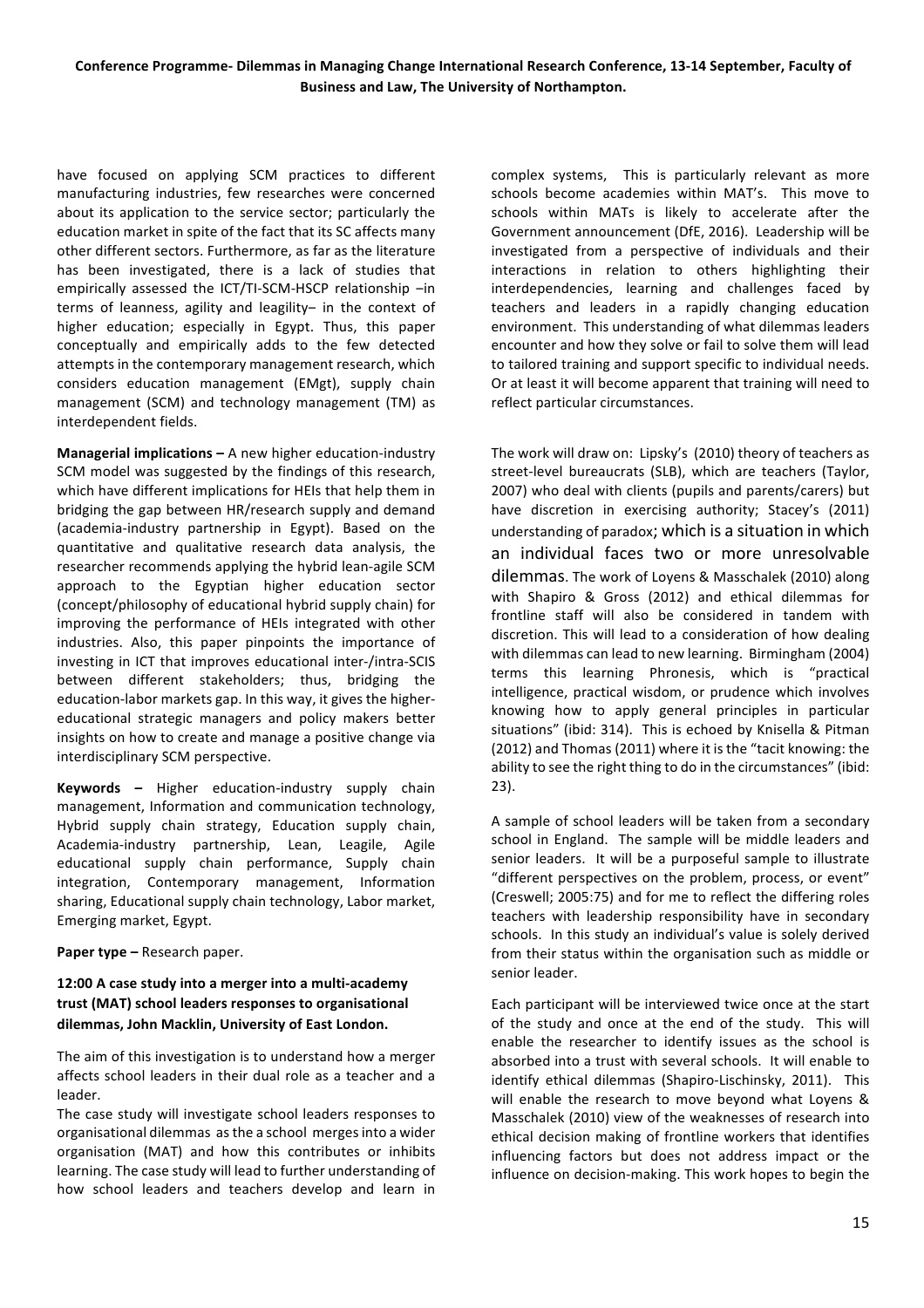have focused on applying SCM practices to different manufacturing industries, few researches were concerned about its application to the service sector; particularly the education market in spite of the fact that its SC affects many other different sectors. Furthermore, as far as the literature has been investigated, there is a lack of studies that empirically assessed the ICT/TI-SCM-HSCP relationship  $-$ in terms of leanness, agility and leagility- in the context of higher education; especially in Egypt. Thus, this paper conceptually and empirically adds to the few detected attempts in the contemporary management research, which considers education management (EMgt), supply chain management (SCM) and technology management (TM) as interdependent fields.

**Managerial implications –** A new higher education-industry SCM model was suggested by the findings of this research. which have different implications for HEIs that help them in bridging the gap between HR/research supply and demand (academia-industry partnership in Egypt). Based on the quantitative and qualitative research data analysis, the researcher recommends applying the hybrid lean-agile SCM approach to the Egyptian higher education sector (concept/philosophy of educational hybrid supply chain) for improving the performance of HEIs integrated with other industries. Also, this paper pinpoints the importance of investing in ICT that improves educational inter-/intra-SCIS between different stakeholders; thus, bridging the education-labor markets gap. In this way, it gives the highereducational strategic managers and policy makers better insights on how to create and manage a positive change via interdisciplinary SCM perspective.

**Keywords –** Higher education-industry supply chain management, Information and communication technology, Hybrid supply chain strategy, Education supply chain, Academia-industry partnership, Lean, Leagile, Agile educational supply chain performance, Supply chain integration, Contemporary management, Information sharing, Educational supply chain technology, Labor market, Emerging market, Egypt.

**Paper type –** Research paper.

## 12:00 A case study into a merger into a multi-academy trust (MAT) school leaders responses to organisational dilemmas, John Macklin, University of East London.

The aim of this investigation is to understand how a merger affects school leaders in their dual role as a teacher and a leader.

The case study will investigate school leaders responses to organisational dilemmas as the a school merges into a wider organisation (MAT) and how this contributes or inhibits learning. The case study will lead to further understanding of how school leaders and teachers develop and learn in

complex systems, This is particularly relevant as more schools become academies within MAT's. This move to schools within MATs is likely to accelerate after the Government announcement (DfE, 2016). Leadership will be investigated from a perspective of individuals and their interactions in relation to others highlighting their interdependencies, learning and challenges faced by teachers and leaders in a rapidly changing education environment. This understanding of what dilemmas leaders encounter and how they solve or fail to solve them will lead to tailored training and support specific to individual needs. Or at least it will become apparent that training will need to reflect particular circumstances.

The work will draw on: Lipsky's (2010) theory of teachers as street-level bureaucrats (SLB), which are teachers (Taylor, 2007) who deal with clients (pupils and parents/carers) but have discretion in exercising authority; Stacey's (2011) understanding of paradox; which is a situation in which an individual faces two or more unresolvable dilemmas. The work of Loyens & Masschalek (2010) along with Shapiro & Gross (2012) and ethical dilemmas for frontline staff will also be considered in tandem with discretion. This will lead to a consideration of how dealing with dilemmas can lead to new learning. Birmingham (2004) terms this learning Phronesis, which is "practical intelligence, practical wisdom, or prudence which involves knowing how to apply general principles in particular situations" (ibid: 314). This is echoed by Knisella & Pitman (2012) and Thomas (2011) where it is the "tacit knowing: the ability to see the right thing to do in the circumstances" (ibid:  $23$ ).

A sample of school leaders will be taken from a secondary school in England. The sample will be middle leaders and senior leaders. It will be a purposeful sample to illustrate "different perspectives on the problem, process, or event" (Creswell; 2005:75) and for me to reflect the differing roles teachers with leadership responsibility have in secondary schools. In this study an individual's value is solely derived from their status within the organisation such as middle or senior leader.

Each participant will be interviewed twice once at the start of the study and once at the end of the study. This will enable the researcher to identify issues as the school is absorbed into a trust with several schools. It will enable to identify ethical dilemmas (Shapiro-Lischinsky, 2011). This will enable the research to move beyond what Loyens  $\&$ Masschalek (2010) view of the weaknesses of research into ethical decision making of frontline workers that identifies influencing factors but does not address impact or the influence on decision-making. This work hopes to begin the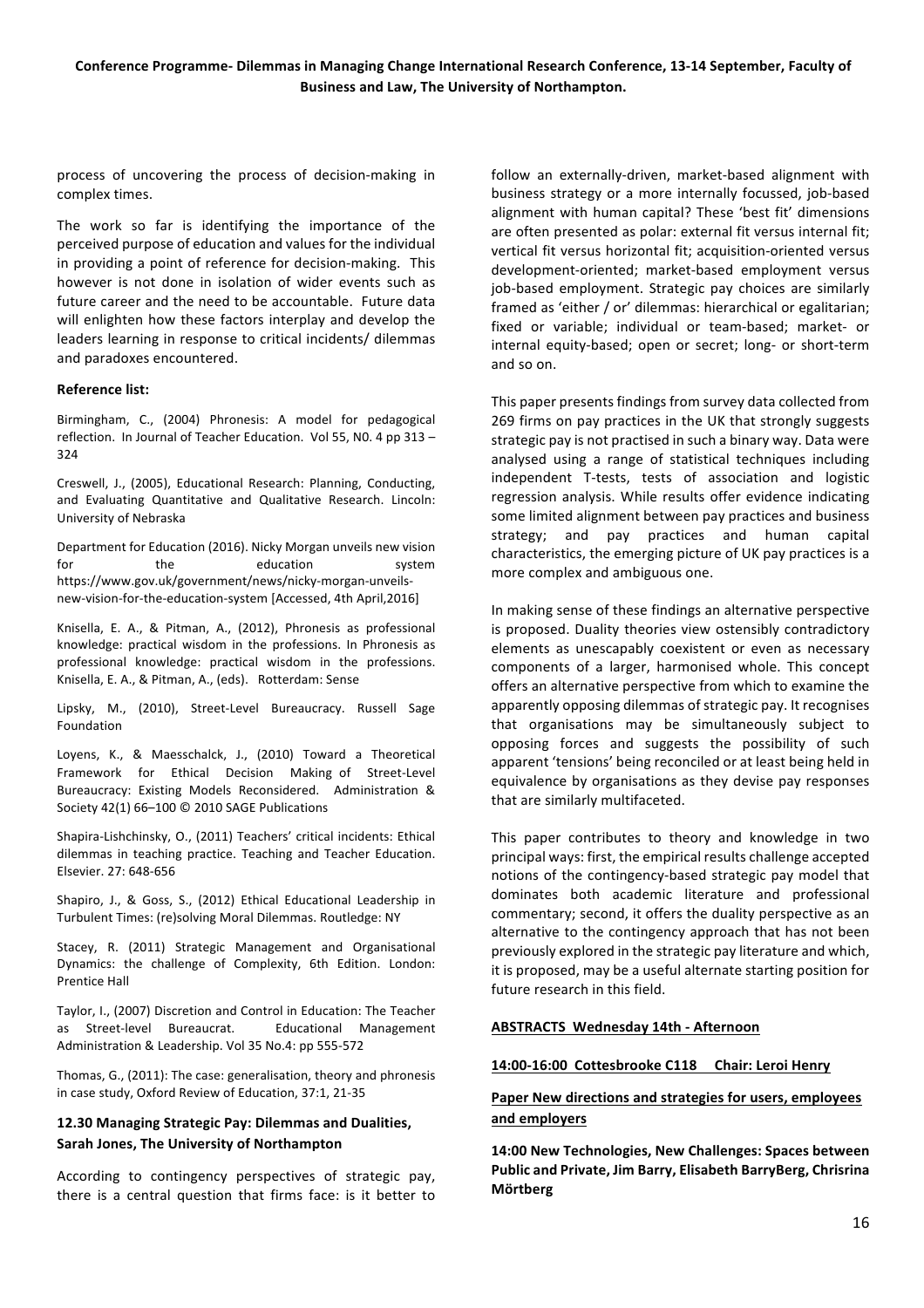process of uncovering the process of decision-making in complex times.

The work so far is identifying the importance of the perceived purpose of education and values for the individual in providing a point of reference for decision-making. This however is not done in isolation of wider events such as future career and the need to be accountable. Future data will enlighten how these factors interplay and develop the leaders learning in response to critical incidents/ dilemmas and paradoxes encountered.

#### **Reference'list:**

Birmingham, C., (2004) Phronesis: A model for pedagogical reflection. In Journal of Teacher Education. Vol 55, N0. 4 pp  $313 -$ 324

Creswell, J., (2005), Educational Research: Planning, Conducting, and Evaluating Quantitative and Qualitative Research. Lincoln: University of Nebraska

Department for Education (2016). Nicky Morgan unveils new vision for the education system https://www.gov.uk/government/news/nicky-morgan-unveilsnew-vision-for-the-education-system [Accessed, 4th April,2016]

Knisella, E. A., & Pitman, A., (2012), Phronesis as professional knowledge: practical wisdom in the professions. In Phronesis as professional knowledge: practical wisdom in the professions. Knisella, E. A., & Pitman, A., (eds). Rotterdam: Sense

Lipsky, M., (2010), Street-Level Bureaucracy. Russell Sage Foundation

Loyens, K., & Maesschalck, J., (2010) Toward a Theoretical Framework for Ethical Decision Making of Street-Level Bureaucracy: Existing Models Reconsidered. Administration & Society 42(1) 66–100 © 2010 SAGE Publications

Shapira-Lishchinsky, O., (2011) Teachers' critical incidents: Ethical dilemmas in teaching practice. Teaching and Teacher Education. Elsevier. 27: 648-656

Shapiro, J., & Goss, S., (2012) Ethical Educational Leadership in Turbulent Times: (re)solving Moral Dilemmas. Routledge: NY

Stacey, R. (2011) Strategic Management and Organisational Dynamics: the challenge of Complexity, 6th Edition. London: Prentice Hall

Taylor, I., (2007) Discretion and Control in Education: The Teacher as# StreetQlevel# Bureaucrat.# # Educational# Management# Administration & Leadership. Vol 35 No.4: pp 555-572

Thomas, G., (2011): The case: generalisation, theory and phronesis in case study, Oxford Review of Education, 37:1, 21-35

## 12.30 Managing Strategic Pay: Dilemmas and Dualities, Sarah Jones, The University of Northampton

According to contingency perspectives of strategic pay, there is a central question that firms face: is it better to follow an externally-driven, market-based alignment with business strategy or a more internally focussed, job-based alignment with human capital? These 'best fit' dimensions are often presented as polar: external fit versus internal fit: vertical fit versus horizontal fit; acquisition-oriented versus development-oriented; market-based employment versus job-based employment. Strategic pay choices are similarly framed as 'either / or' dilemmas: hierarchical or egalitarian; fixed or variable; individual or team-based; market- or internal equity-based; open or secret; long- or short-term and so on.

This paper presents findings from survey data collected from 269 firms on pay practices in the UK that strongly suggests strategic pay is not practised in such a binary way. Data were analysed using a range of statistical techniques including independent T-tests, tests of association and logistic regression analysis. While results offer evidence indicating some limited alignment between pay practices and business strategy; and pay practices and human capital characteristics, the emerging picture of UK pay practices is a more complex and ambiguous one.

In making sense of these findings an alternative perspective is proposed. Duality theories view ostensibly contradictory elements as unescapably coexistent or even as necessary components of a larger, harmonised whole. This concept offers an alternative perspective from which to examine the apparently opposing dilemmas of strategic pay. It recognises that organisations may be simultaneously subject to opposing forces and suggests the possibility of such apparent 'tensions' being reconciled or at least being held in equivalence by organisations as they devise pay responses that are similarly multifaceted.

This paper contributes to theory and knowledge in two principal ways: first, the empirical results challenge accepted notions of the contingency-based strategic pay model that dominates both academic literature and professional commentary; second, it offers the duality perspective as an alternative to the contingency approach that has not been previously explored in the strategic pay literature and which, it is proposed, may be a useful alternate starting position for future research in this field.

## **ABSTRACTS Wednesday 14th - Afternoon**

## 14:00-16:00 Cottesbrooke C118 Chair: Leroi Henry

## Paper New directions and strategies for users, employees **and'employers**

14:00 New Technologies, New Challenges: Spaces between Public and Private, Jim Barry, Elisabeth BarryBerg, Chrisrina **Mörtberg**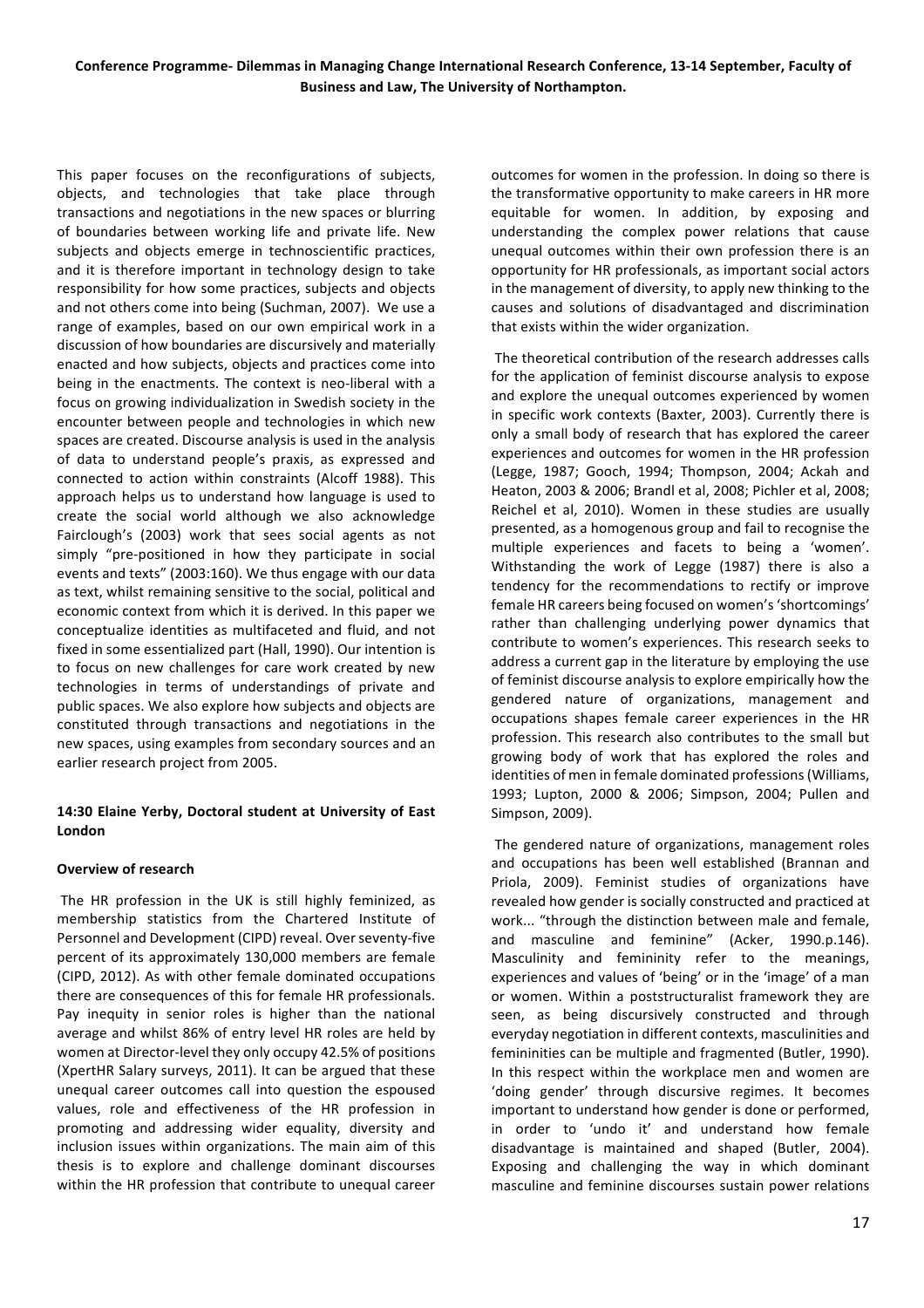This paper focuses on the reconfigurations of subjects, objects, and technologies that take place through transactions and negotiations in the new spaces or blurring of boundaries between working life and private life. New subjects and objects emerge in technoscientific practices, and it is therefore important in technology design to take responsibility for how some practices, subjects and objects and not others come into being (Suchman, 2007). We use a range of examples, based on our own empirical work in a discussion of how boundaries are discursively and materially enacted and how subjects, objects and practices come into being in the enactments. The context is neo-liberal with a focus on growing individualization in Swedish society in the encounter between people and technologies in which new spaces are created. Discourse analysis is used in the analysis of data to understand people's praxis, as expressed and connected to action within constraints (Alcoff 1988). This approach helps us to understand how language is used to create the social world although we also acknowledge Fairclough's (2003) work that sees social agents as not simply "pre-positioned in how they participate in social events and texts" (2003:160). We thus engage with our data as text, whilst remaining sensitive to the social, political and economic context from which it is derived. In this paper we conceptualize identities as multifaceted and fluid, and not fixed in some essentialized part (Hall, 1990). Our intention is to focus on new challenges for care work created by new technologies in terms of understandings of private and public spaces. We also explore how subjects and objects are constituted through transactions and negotiations in the new spaces, using examples from secondary sources and an earlier research project from 2005.

## **14:30'Elaine'Yerby,'Doctoral'student'at'University'of'East' London**

## **Overview'of'research**

The HR profession in the UK is still highly feminized, as membership statistics from the Chartered Institute of Personnel and Development (CIPD) reveal. Over seventy-five percent of its approximately 130,000 members are female (CIPD, 2012). As with other female dominated occupations there are consequences of this for female HR professionals. Pay inequity in senior roles is higher than the national average and whilst 86% of entry level HR roles are held by women at Director-level they only occupy 42.5% of positions (XpertHR Salary surveys, 2011). It can be argued that these unequal career outcomes call into question the espoused values, role and effectiveness of the HR profession in promoting and addressing wider equality, diversity and inclusion issues within organizations. The main aim of this thesis is to explore and challenge dominant discourses within the HR profession that contribute to unequal career

outcomes for women in the profession. In doing so there is the transformative opportunity to make careers in HR more equitable for women. In addition, by exposing and understanding the complex power relations that cause unequal outcomes within their own profession there is an opportunity for HR professionals, as important social actors in the management of diversity, to apply new thinking to the causes and solutions of disadvantaged and discrimination that exists within the wider organization.

The theoretical contribution of the research addresses calls for the application of feminist discourse analysis to expose and explore the unequal outcomes experienced by women in specific work contexts (Baxter, 2003). Currently there is only a small body of research that has explored the career experiences and outcomes for women in the HR profession (Legge, 1987; Gooch, 1994; Thompson, 2004; Ackah and Heaton, 2003 & 2006; Brandl et al, 2008; Pichler et al, 2008; Reichel et al, 2010). Women in these studies are usually presented, as a homogenous group and fail to recognise the multiple experiences and facets to being a 'women'. Withstanding the work of Legge (1987) there is also a tendency for the recommendations to rectify or improve female HR careers being focused on women's 'shortcomings' rather than challenging underlying power dynamics that contribute to women's experiences. This research seeks to address a current gap in the literature by employing the use of feminist discourse analysis to explore empirically how the gendered nature of organizations, management and occupations shapes female career experiences in the HR profession. This research also contributes to the small but growing body of work that has explored the roles and identities of men in female dominated professions (Williams, 1993; Lupton, 2000 & 2006; Simpson, 2004; Pullen and Simpson, 2009).

The gendered nature of organizations, management roles and occupations has been well established (Brannan and Priola, 2009). Feminist studies of organizations have revealed how gender is socially constructed and practiced at work... "through the distinction between male and female, and masculine and feminine" (Acker, 1990.p.146). Masculinity and femininity refer to the meanings, experiences and values of 'being' or in the 'image' of a man or women. Within a poststructuralist framework they are seen, as being discursively constructed and through everyday negotiation in different contexts, masculinities and femininities can be multiple and fragmented (Butler, 1990). In this respect within the workplace men and women are 'doing gender' through discursive regimes. It becomes important to understand how gender is done or performed, in order to 'undo it' and understand how female disadvantage is maintained and shaped (Butler, 2004). Exposing and challenging the way in which dominant masculine and feminine discourses sustain power relations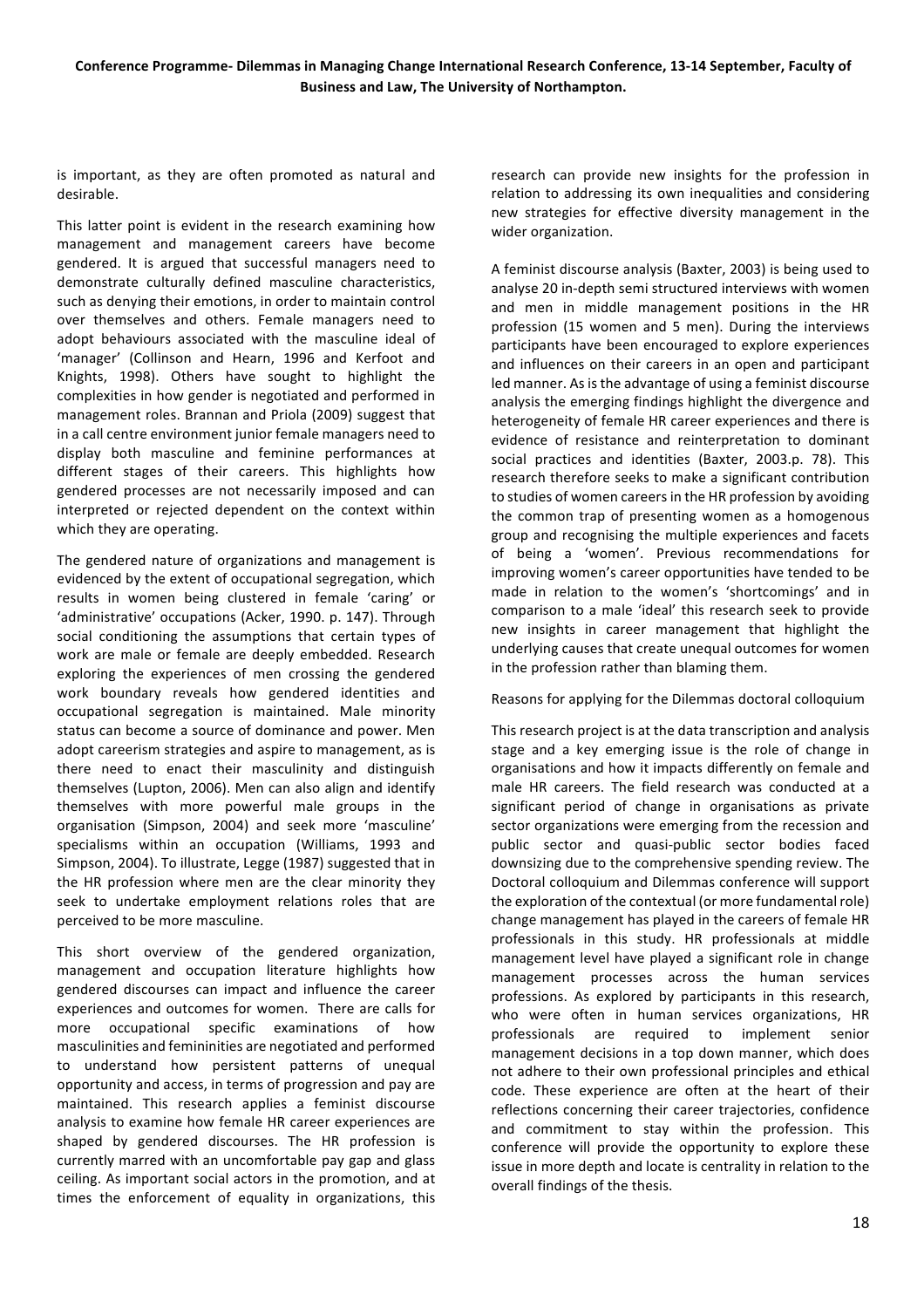is important, as they are often promoted as natural and desirable.

This latter point is evident in the research examining how management and management careers have become gendered. It is argued that successful managers need to demonstrate culturally defined masculine characteristics, such as denying their emotions, in order to maintain control over themselves and others. Female managers need to adopt behaviours associated with the masculine ideal of 'manager' (Collinson and Hearn, 1996 and Kerfoot and Knights, 1998). Others have sought to highlight the complexities in how gender is negotiated and performed in management roles. Brannan and Priola (2009) suggest that in a call centre environment junior female managers need to display both masculine and feminine performances at different stages of their careers. This highlights how gendered processes are not necessarily imposed and can interpreted or rejected dependent on the context within which they are operating.

The gendered nature of organizations and management is evidenced by the extent of occupational segregation, which results in women being clustered in female 'caring' or 'administrative' occupations (Acker, 1990. p. 147). Through social conditioning the assumptions that certain types of work are male or female are deeply embedded. Research exploring the experiences of men crossing the gendered work boundary reveals how gendered identities and occupational segregation is maintained. Male minority status can become a source of dominance and power. Men adopt careerism strategies and aspire to management, as is there need to enact their masculinity and distinguish themselves (Lupton, 2006). Men can also align and identify themselves with more powerful male groups in the organisation (Simpson, 2004) and seek more 'masculine' specialisms within an occupation (Williams, 1993 and Simpson, 2004). To illustrate, Legge (1987) suggested that in the HR profession where men are the clear minority they seek to undertake employment relations roles that are perceived to be more masculine.

This short overview of the gendered organization, management and occupation literature highlights how gendered discourses can impact and influence the career experiences and outcomes for women. There are calls for more occupational specific examinations of how masculinities and femininities are negotiated and performed to understand how persistent patterns of unequal opportunity and access, in terms of progression and pay are maintained. This research applies a feminist discourse analysis to examine how female HR career experiences are shaped by gendered discourses. The HR profession is currently marred with an uncomfortable pay gap and glass ceiling. As important social actors in the promotion, and at times the enforcement of equality in organizations, this

research can provide new insights for the profession in relation to addressing its own inequalities and considering new strategies for effective diversity management in the wider organization.

A feminist discourse analysis (Baxter, 2003) is being used to analyse 20 in-depth semi structured interviews with women and men in middle management positions in the HR profession (15 women and 5 men). During the interviews participants have been encouraged to explore experiences and influences on their careers in an open and participant led manner. As is the advantage of using a feminist discourse analysis the emerging findings highlight the divergence and heterogeneity of female HR career experiences and there is evidence of resistance and reinterpretation to dominant social practices and identities (Baxter, 2003.p. 78). This research therefore seeks to make a significant contribution to studies of women careers in the HR profession by avoiding the common trap of presenting women as a homogenous group and recognising the multiple experiences and facets of being a 'women'. Previous recommendations for improving women's career opportunities have tended to be made in relation to the women's 'shortcomings' and in comparison to a male 'ideal' this research seek to provide new insights in career management that highlight the underlying causes that create unequal outcomes for women in the profession rather than blaming them.

Reasons for applying for the Dilemmas doctoral colloquium

This research project is at the data transcription and analysis stage and a key emerging issue is the role of change in organisations and how it impacts differently on female and male HR careers. The field research was conducted at a significant period of change in organisations as private sector organizations were emerging from the recession and public sector and quasi-public sector bodies faced downsizing due to the comprehensive spending review. The Doctoral colloquium and Dilemmas conference will support the exploration of the contextual (or more fundamental role) change management has played in the careers of female HR professionals in this study. HR professionals at middle management level have played a significant role in change management processes across the human services professions. As explored by participants in this research, who were often in human services organizations, HR professionals are required to implement senior management decisions in a top down manner, which does not adhere to their own professional principles and ethical code. These experience are often at the heart of their reflections concerning their career trajectories, confidence and commitment to stay within the profession. This conference will provide the opportunity to explore these issue in more depth and locate is centrality in relation to the overall findings of the thesis.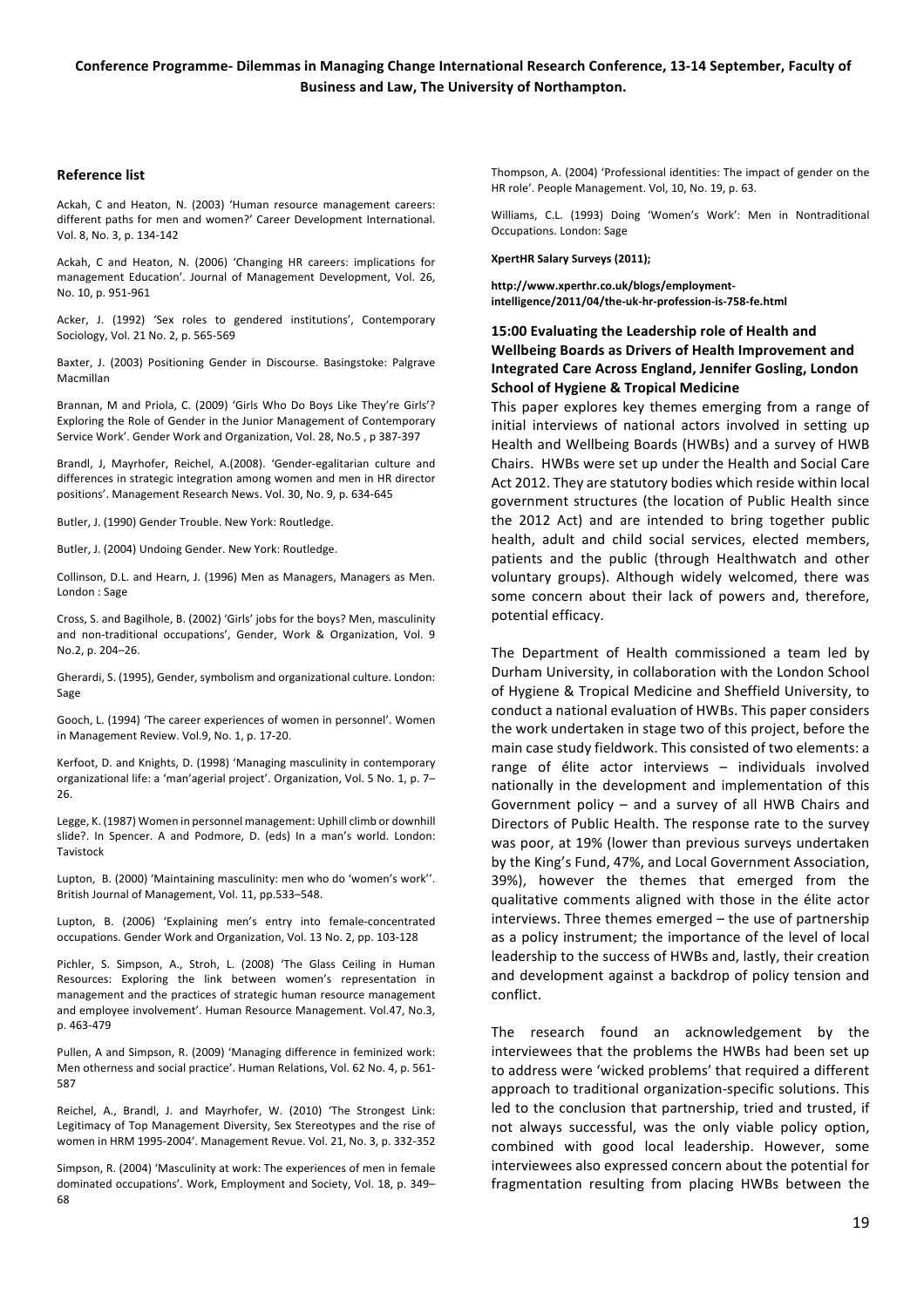#### **Reference list**

Ackah, C and Heaton, N. (2003) 'Human resource management careers: different paths for men and women?' Career Development International. Vol. 8, No. 3, p. 134-142

Ackah, C and Heaton, N. (2006) 'Changing HR careers: implications for management Education'. Journal of Management Development, Vol. 26, No. 10, p. 951-961

Acker, J. (1992) 'Sex roles to gendered institutions', Contemporary Sociology, Vol. 21 No. 2, p. 565-569

Baxter, J. (2003) Positioning Gender in Discourse. Basingstoke: Palgrave Macmillan

Brannan, M and Priola, C. (2009) 'Girls Who Do Boys Like They're Girls'? Exploring the Role of Gender in the Junior Management of Contemporary Service Work'. Gender Work and Organization, Vol. 28, No.5, p 387-397

Brandl, J, Mayrhofer, Reichel, A.(2008). 'Gender-egalitarian culture and differences in strategic integration among women and men in HR director positions'. Management Research News. Vol. 30, No. 9, p. 634-645

Butler, J. (1990) Gender Trouble. New York: Routledge.

Butler, J. (2004) Undoing Gender. New York: Routledge.

Collinson, D.L. and Hearn, J. (1996) Men as Managers, Managers as Men. London : Sage

Cross, S. and Bagilhole, B. (2002) 'Girls' jobs for the boys? Men, masculinity and non-traditional occupations', Gender, Work & Organization, Vol. 9 No.2, p. 204–26.

Gherardi, S. (1995), Gender, symbolism and organizational culture. London: Sage

Gooch, L. (1994) 'The career experiences of women in personnel'. Women in Management Review. Vol.9, No. 1, p. 17-20.

Kerfoot, D. and Knights, D. (1998) 'Managing masculinity in contemporary organizational life: a 'man'agerial project'. Organization, Vol. 5 No. 1, p. 7– 26.

Legge, K. (1987) Women in personnel management: Uphill climb or downhill slide?. In Spencer. A and Podmore, D. (eds) In a man's world. London: Tavistock#

Lupton, B. (2000) 'Maintaining masculinity: men who do 'women's work". British Journal of Management, Vol. 11, pp.533–548.

Lupton, B. (2006) 'Explaining men's entry into female-concentrated occupations. Gender Work and Organization, Vol. 13 No. 2, pp. 103-128

Pichler, S. Simpson, A., Stroh, L. (2008) 'The Glass Ceiling in Human Resources: Exploring the link between women's representation in management and the practices of strategic human resource management and employee involvement'. Human Resource Management. Vol.47, No.3, p. 463-479

Pullen, A and Simpson, R. (2009) 'Managing difference in feminized work: Men otherness and social practice'. Human Relations, Vol. 62 No. 4, p. 561-587

Reichel, A., Brandl, J. and Mayrhofer, W. (2010) 'The Strongest Link: Legitimacy of Top Management Diversity, Sex Stereotypes and the rise of women in HRM 1995-2004'. Management Revue. Vol. 21, No. 3, p. 332-352

Simpson, R. (2004) 'Masculinity at work: The experiences of men in female dominated occupations'. Work, Employment and Society, Vol. 18, p. 349– 68

Thompson, A. (2004) 'Professional identities: The impact of gender on the HR role'. People Management. Vol. 10, No. 19, p. 63.

Williams, C.L. (1993) Doing 'Women's Work': Men in Nontraditional Occupations. London: Sage

#### **XpertHR'Salary'Surveys'(2011);'**

**http://www.xperthr.co.uk/blogs/employment/** intelligence/2011/04/the-uk-hr-profession-is-758-fe.html

## 15:00 **Evaluating the Leadership role of Health and Wellbeing'Boards'as'Drivers'of'Health'Improvement'and'** Integrated Care Across England, Jennifer Gosling, London **School of Hygiene & Tropical Medicine**

This paper explores key themes emerging from a range of initial interviews of national actors involved in setting up Health and Wellbeing Boards (HWBs) and a survey of HWB Chairs. HWBs were set up under the Health and Social Care Act 2012. They are statutory bodies which reside within local government structures (the location of Public Health since the 2012 Act) and are intended to bring together public health, adult and child social services, elected members, patients and the public (through Healthwatch and other voluntary groups). Although widely welcomed, there was some concern about their lack of powers and, therefore, potential efficacy.

The Department of Health commissioned a team led by Durham University, in collaboration with the London School of Hygiene & Tropical Medicine and Sheffield University, to conduct a national evaluation of HWBs. This paper considers the work undertaken in stage two of this project, before the main case study fieldwork. This consisted of two elements: a range of élite actor interviews – individuals involved nationally in the development and implementation of this Government policy – and a survey of all HWB Chairs and Directors of Public Health. The response rate to the survey was poor, at 19% (lower than previous surveys undertaken by the King's Fund, 47%, and Local Government Association, 39%), however the themes that emerged from the qualitative comments aligned with those in the élite actor interviews. Three themes emerged – the use of partnership as a policy instrument; the importance of the level of local leadership to the success of HWBs and, lastly, their creation and development against a backdrop of policy tension and conflict.

The research found an acknowledgement by the interviewees that the problems the HWBs had been set up to address were 'wicked problems' that required a different approach to traditional organization-specific solutions. This led to the conclusion that partnership, tried and trusted, if not always successful, was the only viable policy option, combined with good local leadership. However, some interviewees also expressed concern about the potential for fragmentation resulting from placing HWBs between the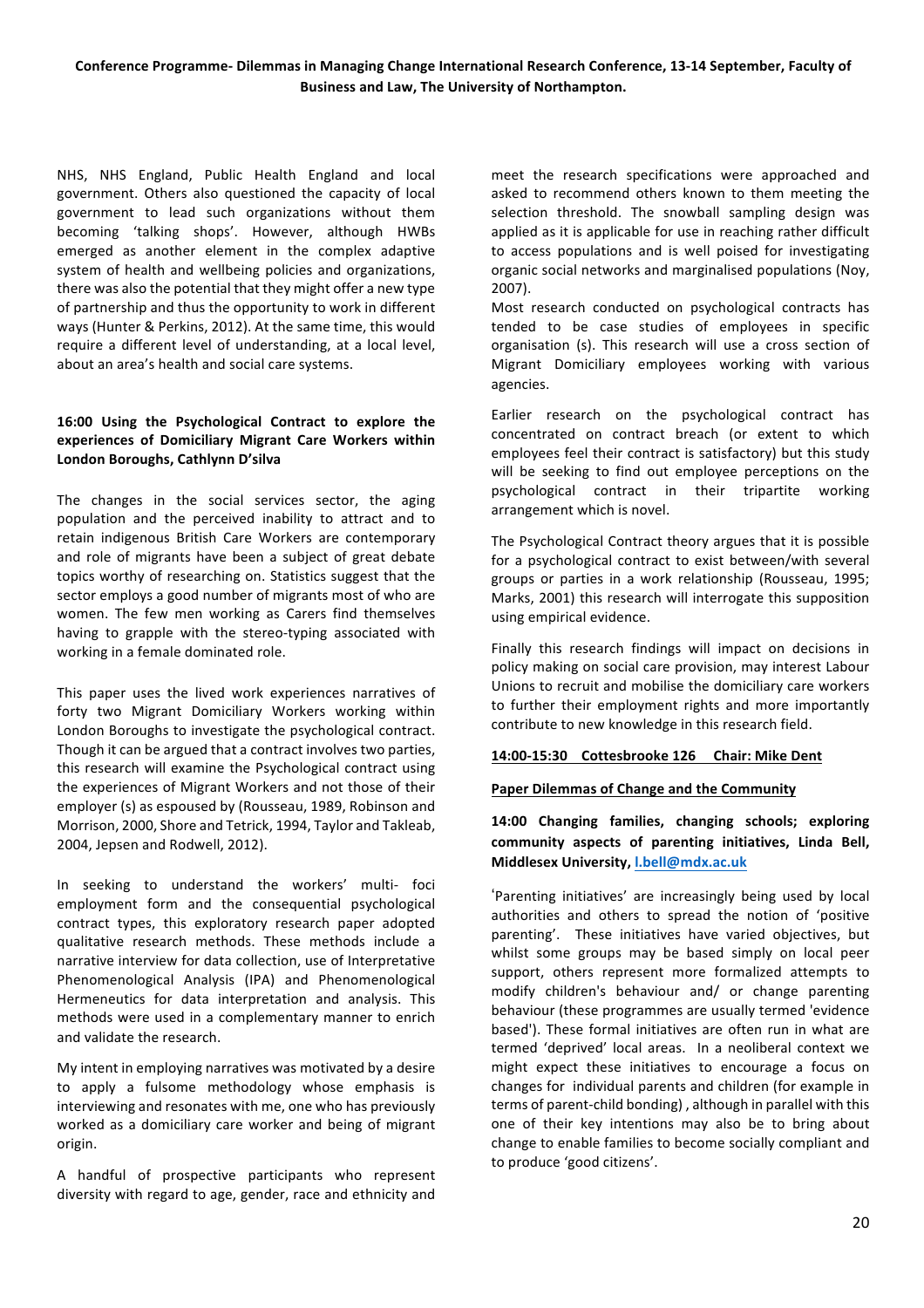NHS, NHS England, Public Health England and local government. Others also questioned the capacity of local government to lead such organizations without them becoming 'talking shops'. However, although HWBs emerged as another element in the complex adaptive system of health and wellbeing policies and organizations, there was also the potential that they might offer a new type of partnership and thus the opportunity to work in different ways (Hunter & Perkins, 2012). At the same time, this would require a different level of understanding, at a local level, about an area's health and social care systems.

## **16:00' Using' the' Psychological' Contract' to' explore' the' experiences' of' Domiciliary' Migrant' Care' Workers' within'** London Boroughs, Cathlynn D'silva

The changes in the social services sector, the aging population and the perceived inability to attract and to retain indigenous British Care Workers are contemporary and role of migrants have been a subject of great debate topics worthy of researching on. Statistics suggest that the sector employs a good number of migrants most of who are women. The few men working as Carers find themselves having to grapple with the stereo-typing associated with working in a female dominated role.

This paper uses the lived work experiences narratives of forty two Migrant Domiciliary Workers working within London Boroughs to investigate the psychological contract. Though it can be argued that a contract involves two parties, this research will examine the Psychological contract using the experiences of Migrant Workers and not those of their employer (s) as espoused by (Rousseau, 1989, Robinson and Morrison, 2000, Shore and Tetrick, 1994, Taylor and Takleab, 2004, Jepsen and Rodwell, 2012).

In seeking to understand the workers' multi- foci employment form and the consequential psychological contract types, this exploratory research paper adopted qualitative research methods. These methods include a narrative interview for data collection, use of Interpretative Phenomenological Analysis (IPA) and Phenomenological Hermeneutics for data interpretation and analysis. This methods were used in a complementary manner to enrich and validate the research.

My intent in employing narratives was motivated by a desire to apply a fulsome methodology whose emphasis is interviewing and resonates with me, one who has previously worked as a domiciliary care worker and being of migrant origin.

A handful of prospective participants who represent diversity with regard to age, gender, race and ethnicity and

meet the research specifications were approached and asked to recommend others known to them meeting the selection threshold. The snowball sampling design was applied as it is applicable for use in reaching rather difficult to access populations and is well poised for investigating organic social networks and marginalised populations (Noy,  $2007$ ).

Most research conducted on psychological contracts has tended to be case studies of employees in specific organisation (s). This research will use a cross section of Migrant Domiciliary employees working with various agencies.#

Earlier research on the psychological contract has concentrated on contract breach (or extent to which employees feel their contract is satisfactory) but this study will be seeking to find out employee perceptions on the psychological contract in their tripartite working arrangement which is novel.

The Psychological Contract theory argues that it is possible for a psychological contract to exist between/with several groups or parties in a work relationship (Rousseau, 1995; Marks, 2001) this research will interrogate this supposition using empirical evidence.

Finally this research findings will impact on decisions in policy making on social care provision, may interest Labour Unions to recruit and mobilise the domiciliary care workers to further their employment rights and more importantly contribute to new knowledge in this research field.

## 14:00-15:30 Cottesbrooke 126 Chair: Mike Dent

## **Paper Dilemmas of Change and the Community**

14:00 Changing families, changing schools; exploring community aspects of parenting initiatives, Linda Bell, **Middlesex'University,'l.bell@mdx.ac.uk**

'Parenting initiatives' are increasingly being used by local authorities and others to spread the notion of 'positive parenting'. These initiatives have varied objectives, but whilst some groups may be based simply on local peer support, others represent more formalized attempts to modify children's behaviour and/ or change parenting behaviour (these programmes are usually termed 'evidence based'). These formal initiatives are often run in what are termed 'deprived' local areas. In a neoliberal context we might expect these initiatives to encourage a focus on changes for individual parents and children (for example in terms of parent-child bonding), although in parallel with this one of their key intentions may also be to bring about change to enable families to become socially compliant and to produce 'good citizens'.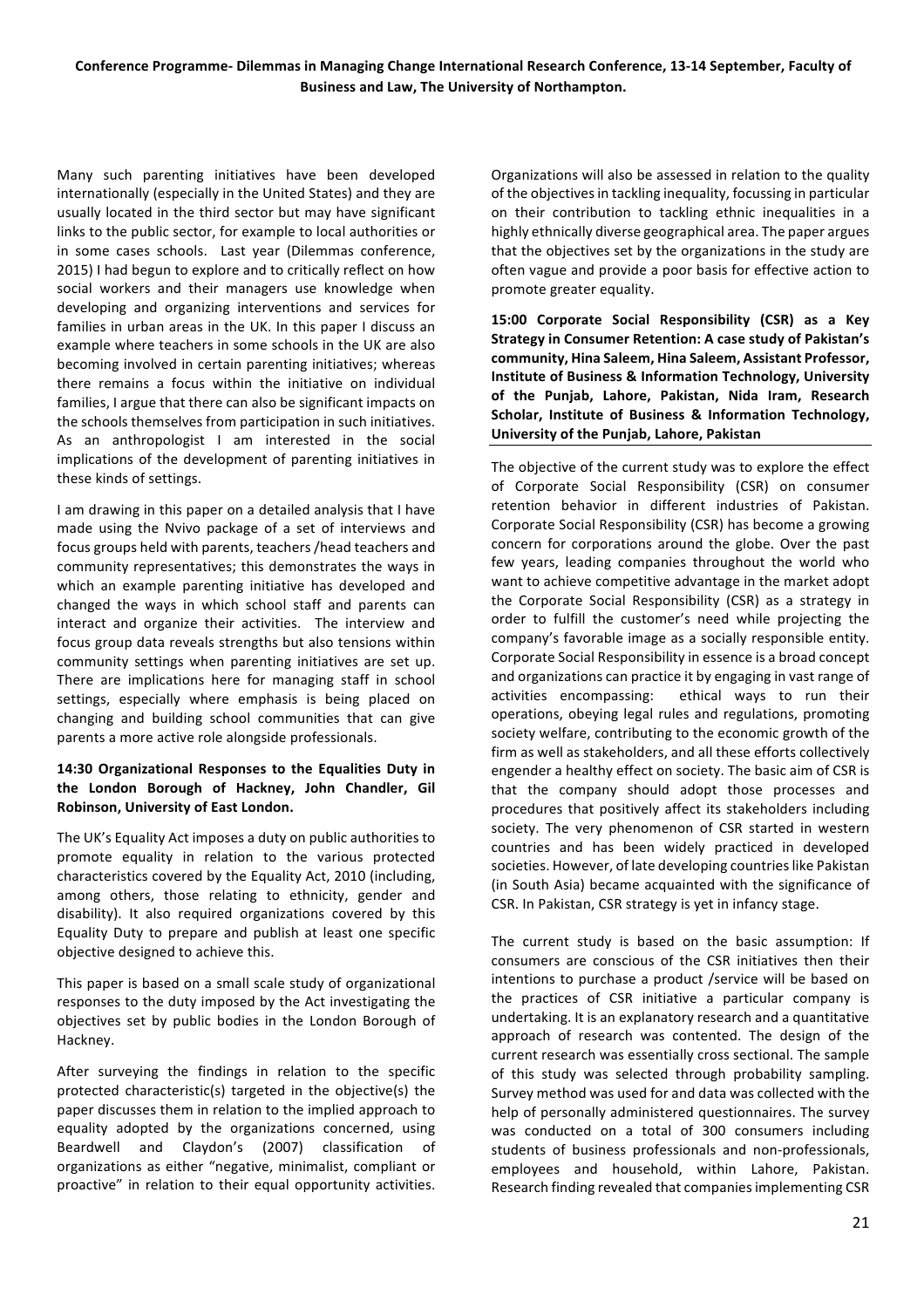Many such parenting initiatives have been developed internationally (especially in the United States) and they are usually located in the third sector but may have significant links to the public sector, for example to local authorities or in some cases schools. Last year (Dilemmas conference, 2015) I had begun to explore and to critically reflect on how social workers and their managers use knowledge when developing and organizing interventions and services for families in urban areas in the UK. In this paper I discuss an example where teachers in some schools in the UK are also becoming involved in certain parenting initiatives; whereas there remains a focus within the initiative on individual families, I argue that there can also be significant impacts on the schools themselves from participation in such initiatives. As an anthropologist I am interested in the social implications of the development of parenting initiatives in these kinds of settings.

I am drawing in this paper on a detailed analysis that I have made using the Nvivo package of a set of interviews and focus groups held with parents, teachers /head teachers and community representatives; this demonstrates the ways in which an example parenting initiative has developed and changed the ways in which school staff and parents can interact and organize their activities. The interview and focus group data reveals strengths but also tensions within community settings when parenting initiatives are set up. There are implications here for managing staff in school settings, especially where emphasis is being placed on changing and building school communities that can give parents a more active role alongside professionals.

## **14:30' Organizational' Responses' to' the' Equalities' Duty' in'** the London Borough of Hackney, John Chandler, Gil **Robinson, University of East London.**

The UK's Equality Act imposes a duty on public authorities to promote equality in relation to the various protected characteristics covered by the Equality Act, 2010 (including, among others, those relating to ethnicity, gender and disability). It also required organizations covered by this Equality Duty to prepare and publish at least one specific objective designed to achieve this.

This paper is based on a small scale study of organizational responses to the duty imposed by the Act investigating the objectives set by public bodies in the London Borough of Hackney.

After surveying the findings in relation to the specific protected characteristic(s) targeted in the objective(s) the paper discusses them in relation to the implied approach to equality adopted by the organizations concerned, using Beardwell and Claydon's (2007) classification of organizations as either "negative, minimalist, compliant or proactive" in relation to their equal opportunity activities.

Organizations will also be assessed in relation to the quality of the objectives in tackling inequality, focussing in particular on their contribution to tackling ethnic inequalities in a highly ethnically diverse geographical area. The paper argues that the objectives set by the organizations in the study are often vague and provide a poor basis for effective action to promote greater equality.

**15:00' Corporate' Social' Responsibility' (CSR)' as' a' Key' Strategy in Consumer Retention: A case study of Pakistan's** community, Hina Saleem, Hina Saleem, Assistant Professor, **Institute of Business & Information Technology, University of' the' Punjab,' Lahore,' Pakistan,' Nida' Iram,' Research'** Scholar, Institute of Business & Information Technology, University of the Punjab, Lahore, Pakistan

The objective of the current study was to explore the effect of Corporate Social Responsibility (CSR) on consumer retention behavior in different industries of Pakistan. Corporate Social Responsibility (CSR) has become a growing concern for corporations around the globe. Over the past few years, leading companies throughout the world who want to achieve competitive advantage in the market adopt the Corporate Social Responsibility (CSR) as a strategy in order to fulfill the customer's need while projecting the company's favorable image as a socially responsible entity. Corporate Social Responsibility in essence is a broad concept and organizations can practice it by engaging in vast range of activities encompassing: ethical ways to run their operations, obeying legal rules and regulations, promoting society welfare, contributing to the economic growth of the firm as well as stakeholders, and all these efforts collectively engender a healthy effect on society. The basic aim of CSR is that the company should adopt those processes and procedures that positively affect its stakeholders including society. The very phenomenon of CSR started in western countries and has been widely practiced in developed societies. However, of late developing countries like Pakistan (in South Asia) became acquainted with the significance of CSR. In Pakistan, CSR strategy is yet in infancy stage.

The current study is based on the basic assumption: If consumers are conscious of the CSR initiatives then their intentions to purchase a product /service will be based on the practices of CSR initiative a particular company is undertaking. It is an explanatory research and a quantitative approach of research was contented. The design of the current research was essentially cross sectional. The sample of this study was selected through probability sampling. Survey method was used for and data was collected with the help of personally administered questionnaires. The survey was conducted on a total of 300 consumers including students of business professionals and non-professionals, employees and household, within Lahore, Pakistan. Research finding revealed that companies implementing CSR